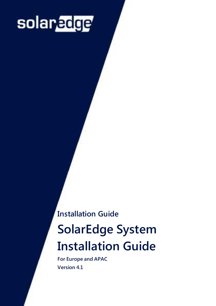# solaredge

**Installation Guide**

## **SolarEdge System Installation Guide**

**For Europe and APAC Version 4.1**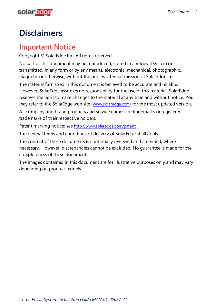<span id="page-1-0"></span>

### <span id="page-1-1"></span>**Disclaimers**

### Important Notice

Copyright © SolarEdge Inc. All rights reserved.

No part of this document may be reproduced, stored in a retrieval system or transmitted, in any form or by any means, electronic, mechanical, photographic, magnetic or otherwise, without the prior written permission of SolarEdge Inc.

The material furnished in this document is believed to be accurate and reliable. However, SolarEdge assumes no responsibility for the use of this material. SolarEdge reserves the right to make changes to the material at any time and without notice. You may refer to the SolarEdge web site ([www.solaredge.com](http://www.solaredge.com/)) for the most updated version.

All company and brand products and service names are trademarks or registered trademarks of their respective holders.

Patent marking notice: see <http://www.solaredge.com/patent>

The general terms and conditions of delivery of SolarEdge shall apply.

The content of these documents is continually reviewed and amended, where necessary. However, discrepancies cannot be excluded. No guarantee is made for the completeness of these documents.

The images contained in this document are for illustrative purposes only and may vary depending on product models.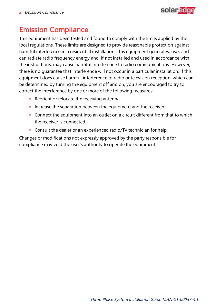

### <span id="page-2-0"></span>Emission Compliance

This equipment has been tested and found to comply with the limits applied by the local regulations. These limits are designed to provide reasonable protection against harmful interference in a residential installation. This equipment generates, uses and can radiate radio frequency energy and, if not installed and used in accordance with the instructions, may cause harmful interference to radio communications. However, there is no guarantee that interference will not occur in a particular installation. If this equipment does cause harmful interference to radio or television reception, which can be determined by turning the equipment off and on, you are encouraged to try to correct the interference by one or more of the following measures:

- Reorient or relocate the receiving antenna.
- Increase the separation between the equipment and the receiver.
- Connect the equipment into an outlet on a circuit different from that to which the receiver is connected.
- Consult the dealer or an experienced radio/TV technician for help.

Changes or modifications not expressly approved by the party responsible for compliance may void the user's authority to operate the equipment.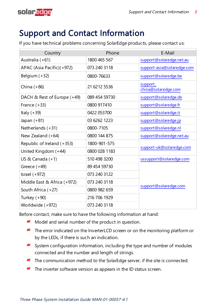<span id="page-3-0"></span>

### Support and Contact Information

If you have technical problems concerning SolarEdge products, please contact us:

| Country                     | Phone         | E-Mail                          |
|-----------------------------|---------------|---------------------------------|
| Australia (+61)             | 1800 465 567  | support@solaredge.net.au        |
| APAC (Asia Pacific) (+972)  | 073 240 3118  | support-asia@solaredge.com      |
| Belgium (+32)               | 0800-76633    | support@solaredge.be            |
| China (+86)                 | 21 6212 5536  | support_<br>china@solaredge.com |
| DACH & Rest of Europe (+49) | 089 454 59730 | support@solaredge.de            |
| France $(+33)$              | 0800 917410   | support@solaredge.fr            |
| Italy $(+39)$               | 0422 053700   | support@solaredge.it            |
| Japan (+81)                 | 03 6262 1223  | support@solaredge.jp            |
| Netherlands (+31)           | 0800-7105     | support@solaredge.nl            |
| New Zealand (+64)           | 0800 144 875  | support@solaredge.net.au        |
| Republic of Ireland (+353)  | 1800-901-575  |                                 |
| United Kingdom (+44)        | 0800 028 1183 | support-uk@solaredge.com        |
| US & Canada $(+1)$          | 510 498 3200  | ussupport@solaredge.com         |
| Greece $(+49)$              | 89 454 59730  |                                 |
| Israel $(+972)$             | 073 240 3122  |                                 |
| Middle East & Africa (+972) | 073 240 3118  |                                 |
| South Africa (+27)          | 0800 982 659  | support@solaredge.com           |
| Turkey $(+90)$              | 216 706 1929  |                                 |
| Worldwide (+972)            | 073 240 3118  |                                 |

Before contact, make sure to have the following information at hand:

- a. Model and serial number of the product in question.
- The error indicated on the InverterLCD screen or on the monitoring platform or by the LEDs, if there is such an indication.
- $\blacksquare$  System configuration information, including the type and number of modules connected and the number and length of strings.
- The communication method to the SolarEdge server, if the site is connected.
- The inverter software version as appears in the ID status screen.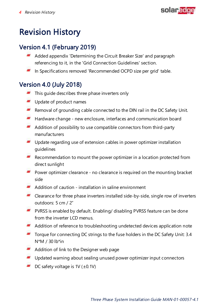### solaredge

### <span id="page-4-0"></span>Revision History

### Version 4.1 (February 2019)

- Added appendix 'Determining the Circuit Breaker Size' and paragraph referencing to it, in the 'Grid Connection Guidelines' section.
- In Specifications removed 'Recommended OCPD size per grid' table.

### Version 4.0 (July 2018)

- $\blacksquare$  This quide describes three phase inverters only
- Update of product names
- Removal of grounding cable connected to the DIN rail in the DC Safety Unit.
- Hardware change new enclosure, interfaces and communication board
- $\blacksquare$  Addition of possibility to use compatible connectors from third-party manufacturers
- Update regarding use of extension cables in power optimizer installation guidelines
- Recommendation to mount the power optimizer in a location protected from direct sunlight
- **Power optimizer clearance no clearance is required on the mounting bracket** side
- $\blacksquare$  Addition of caution installation in saline environment
- Clearance for three phase inverters installed side-by-side, single row of inverters outdoors: 5 cm / 2"
- **PVRSS** is enabled by default. Enabling/ disabling PVRSS feature can be done from the inverter LCD menus.
- Addition of reference to troubleshooting undetected devices application note
- Torque for connecting DC strings to the fuse holders in the DC Safety Unit: 3.4 N\*M / 30 lb\*in
- Addition of link to the Designer web page
- Updated warning about sealing unused power optimizer input connectors
- $\blacksquare$  DC safety voltage is 1V ( $\pm$ 0.1V)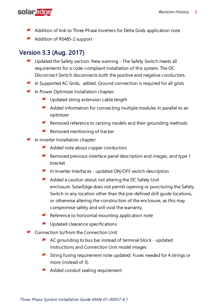

- Addition of link to Three Phase Inverters for Delta Grids application note
- Addition of RS485-2 support

### Version 3.3 (Aug. 2017)

- Updated the Safety section: New warning The Safety Switch meets all requirements for a code-compliant installation of this system. The DC Disconnect Switch disconnects both the positive and negative conductors.
- In Supported AC Grids, added: Ground connection is required for all grids
- In Power Optimizer Installation chapter:
	- Updated string extension cable length
	- Added information for connecting multiple modules in parallel to an optimizer
	- **Removed reference to racking models and their grounding methods**
	- $\blacksquare$  Removed mentioning of tracker
- In inverter Installation chapter:
	- Added note about copper conductors
	- **Removed previous interface panel description and images, and type 1** bracket
	- In Inverter Interfaces updated ON/OFF switch description
	- Added a caution about not altering the DC Safety Unit enclosure: SolarEdge does not permit opening or puncturing the Safety Switch in any location other than the pre-defined drill guide locations, or otherwise altering the construction of the enclosure, as this may compromise safety and will void the warranty.
	- Reference to horizontal mounting application note
	- **Updated clearance specifications**
- **Connection to/from the Connection Unit:** 
	- AC grounding to bus bar instead of terminal block updated instructions and Connection Unit model images
	- **String fusing requirement note updated: Fuses needed for 4 strings or** more (instead of 3).
	- Added conduit sealing requirement

Three Phase System Installation Guide MAN-01-00057-4.1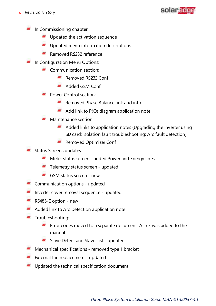

- $\blacksquare$  In Commissioning chapter:
	- $\blacksquare$  Updated the activation sequence
	- Updated menu information descriptions
	- Removed RS232 reference
- **In Configuration Menu Options:** 
	- Communication section:
		- Removed RS232 Conf
		- **Added GSM Conf**
	- **Power Control section:** 
		- **Removed Phase Balance link and info**
		- $\blacktriangleright$  Add link to P(Q) diagram application note
	- **Maintenance section:** 
		- Added links to application notes (Upgrading the inverter using SD card; Isolation fault troubleshooting; Arc fault detection)
		- **Removed Optimizer Conf**
- Status Screens updates:
	- Meter status screen added Power and Energy lines
	- Telemetry status screen updated
	- GSM status screen new
- **Communication options updated**
- Inverter cover removal sequence updated
- RS485-E option new
- Added link to Arc Detection application note
- **Troubleshooting:** 
	- **E** Fror codes moved to a separate document. A link was added to the manual.
	- Slave Detect and Slave List updated
- Mechanical specifications removed type 1 bracket
- **External fan replacement updated**
- Updated the technical specification document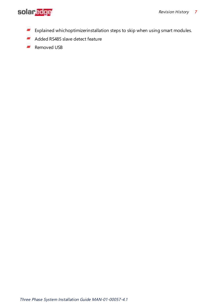

- **Explained whichoptimizerinstallation steps to skip when using smart modules.**
- Added RS485 slave detect feature
- Removed USB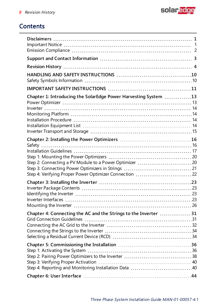

### **Contents**

| Chapter 1: Introducing the SolarEdge Power Harvesting System 13  |  |
|------------------------------------------------------------------|--|
|                                                                  |  |
|                                                                  |  |
|                                                                  |  |
| Chapter 4: Connecting the AC and the Strings to the Inverter  31 |  |
|                                                                  |  |
|                                                                  |  |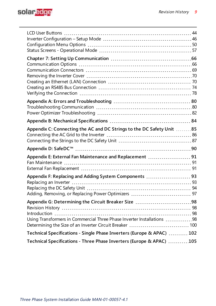

| Appendix C: Connecting the AC and DC Strings to the DC Safety Unit 85                                                              |  |
|------------------------------------------------------------------------------------------------------------------------------------|--|
|                                                                                                                                    |  |
|                                                                                                                                    |  |
|                                                                                                                                    |  |
| Appendix E: External Fan Maintenance and Replacement 91                                                                            |  |
|                                                                                                                                    |  |
|                                                                                                                                    |  |
| Appendix F: Replacing and Adding System Components  93                                                                             |  |
|                                                                                                                                    |  |
|                                                                                                                                    |  |
|                                                                                                                                    |  |
| Appendix G: Determining the Circuit Breaker Size 98                                                                                |  |
|                                                                                                                                    |  |
|                                                                                                                                    |  |
| Using Transformers in Commercial Three Phase Inverter Installations 98<br>Determining the Size of an Inverter Circuit Breaker  100 |  |
|                                                                                                                                    |  |
| Technical Specifications - Single Phase Inverters (Europe & APAC)  102                                                             |  |
| Technical Specifications - Three Phase Inverters (Europe & APAC) 105                                                               |  |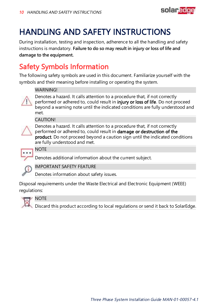

### <span id="page-10-0"></span>HANDLING AND SAFETY INSTRUCTIONS

During installation, testing and inspection, adherence to all the handling and safety instructions is mandatory. **Failure to do so may result in injury or loss of life and damage to the equipment.**

### <span id="page-10-1"></span>Safety Symbols Information

The following safety symbols are used in this document. Familiarize yourself with the symbols and their meaning before installing or operating the system.

#### WARNING!

Denotes a hazard. It calls attention to a procedure that, if not correctly performed or adhered to, could result in injury or loss of life. Do not proceed beyond a warning note until the indicated conditions are fully understood and met.

#### **CAUTION!**



Denotes a hazard. It calls attention to a procedure that, if not correctly performed or adhered to, could result in damage or destruction of the product. Do not proceed beyond a caution sign until the indicated conditions are fully understood and met.



**NOTE** 

Denotes additional information about the current subject.

IMPORTANT SAFETY FEATURE

Denotes information about safety issues.

Disposal requirements under the Waste Electrical and Electronic Equipment (WEEE) regulations:



#### NOTE

Discard this product according to local regulations or send it back to SolarEdge.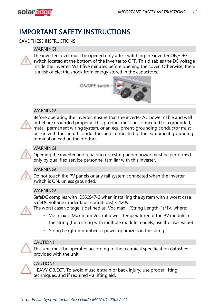

### <span id="page-11-0"></span>IMPORTANT SAFETY INSTRUCTIONS

#### SAVE THESE INSTRUCTIONS

#### **WARNING!**



The inverter cover must be opened only after switching the inverter ON/OFF switch located at the bottom of the inverter to OFF. This disables the DC voltage inside the inverter. Wait five minutes before opening the cover. Otherwise, there is a risk of electric shock from energy stored in the capacitors.



#### **WARNING!**

Before operating the inverter, ensure that the inverter AC power cable and wall outlet are grounded properly. This product must be connected to a grounded, metal, permanent wiring system, or an equipment-grounding conductor must be run with the circuit conductors and connected to the equipment grounding terminal or lead on the product.



#### **WARNING!**

Opening the inverter and repairing or testing under power must be performed only by qualified service personnel familiar with this inverter.



#### **WARNING!**

Do not touch the PV panels or any rail system connected when the inverter switch is ON, unless grounded.

#### WARNING!

SafeDC complies with IEC60947-3 when installing the system with a worst case SafeDC voltage (under fault conditions) < 120V.



The worst case voltage is defined as: Voc, max + (String Length-1)\*1V, where:

Voc, max = Maximum Voc (at lowest temperature) of the PV module in

the string (for a string with multiple module models, use the max value)

**String Length = number of power optimizers in the string** 



#### CAUTION!

This unit must be operated according to the technical specification datasheet provided with the unit.



#### CAUTION!

HEAVY OBJECT. To avoid muscle strain or back injury, use proper lifting techniques, and if required - a lifting aid.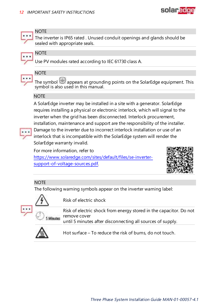

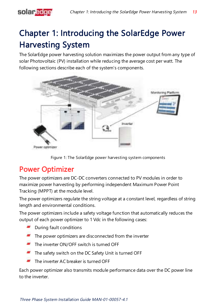### <span id="page-13-0"></span>solaredge

## Chapter 1: Introducing the SolarEdge Power Harvesting System

The SolarEdge power harvesting solution maximizes the power output from any type of solar Photovoltaic (PV) installation while reducing the average cost per watt. The following sections describe each of the system's components.



Figure 1: The SolarEdge power harvesting system components

### <span id="page-13-1"></span>Power Optimizer

The power optimizers are DC-DC converters connected to PV modules in order to maximize power harvesting by performing independent Maximum Power Point Tracking (MPPT) at the module level.

The power optimizers regulate the string voltage at a constant level, regardless of string length and environmental conditions.

The power optimizers include a safety voltage function that automatically reduces the output of each power optimizer to 1 Vdc in the following cases:

- During fault conditions
- $\blacksquare$  The power optimizers are disconnected from the inverter
- The inverter ON/OFF switch is turned OFF
- The safety switch on the DC Safety Unit is turned OFF
- The inverter AC breaker is turned OFF

Each power optimizer also transmits module performance data over the DC power line to the inverter.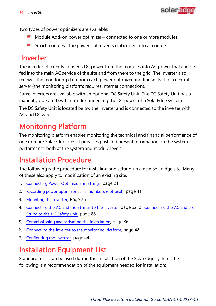

Two types of power optimizers are available:

- $\blacksquare$  Module Add-on power optimizer connected to one or more modules
- Smart modules the power optimizer is embedded into a module

### <span id="page-14-0"></span>Inverter

The inverter efficiently converts DC power from the modules into AC power that can be fed into the main AC service of the site and from there to the grid. The inverter also receives the monitoring data from each power optimizer and transmits it to a central server (the monitoring platform; requires Internet connection).

Some inverters are available with an optional DC Safety Unit. The DC Safety Unit has a manually operated switch for disconnecting the DC power of a SolarEdge system.

The DC Safety Unit is located below the inverter and is connected to the inverter with AC and DC wires.

### <span id="page-14-1"></span>Monitoring Platform

The monitoring platform enables monitoring the technical and financial performance of one or more SolarEdge sites. It provides past and present information on the system performance both at the system and module levels.

### <span id="page-14-2"></span>Installation Procedure

The following is the procedure for installing and setting up a new SolarEdge site. Many of these also apply to modification of an existing site.

- 1. [Connecting](#page-21-0) Power Optimizers in Strings, page [21](#page-21-0).
- 2. [Recording](#page-41-0) power optimizer serial numbers (optional), page [41](#page-41-1).
- 3. [Mounting](#page-26-0) the inverter, Page [26](#page-26-0).
- 4. [Connecting](#page-32-0) the AC and the Strings to the Inverter, page [32,](#page-32-0) or [Connecting](#page-85-0) the AC and the String to the [DC Safety](#page-85-0) Unit, page [85](#page-85-0).
- 5. [Commissioning](#page-36-1) and activating the installation, page [36.](#page-36-1)
- 6. [Connecting](#page-42-0) the inverter to the monitoring platform, page [42.](#page-42-0)
- <span id="page-14-3"></span>7. [Configuring](#page-44-0) the inverter, page [44](#page-44-0).

### Installation Equipment List

Standard tools can be used during the installation of the SolarEdge system. The following is a recommendation of the equipment needed for installation: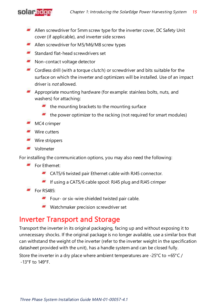

- Allen screwdriver for 5mm screw type for the inverter cover, DC Safety Unit cover (if applicable), and inverter side screws
- Allen screwdriver for M5/M6/M8 screw types
- **Standard flat-head screwdrivers set**
- **Non-contact voltage detector**
- **Cordless drill (with a torque clutch) or screwdriver and bits suitable for the** surface on which the inverter and optimizers will be installed. Use of an impact driver is not allowed.
- Appropriate mounting hardware (for example: stainless bolts, nuts, and washers) for attaching:
	- $\blacksquare$  the mounting brackets to the mounting surface
	- $\blacksquare$  the power optimizer to the racking (not required for smart modules)
- MC4 crimper
- **Wire cutters**
- **Wire strippers**
- **Voltmeter**

For installing the communication options, you may also need the following:

- For Fthernet:
	- CAT5/6 twisted pair Ethernet cable with RJ45 connector.
	- × If using a CAT5/6 cable spool: RJ45 plug and RJ45 crimper
- $F$  For RS485:
	- Four- or six-wire shielded twisted pair cable.
	- Watchmaker precision screwdriver set

### <span id="page-15-0"></span>Inverter Transport and Storage

Transport the inverter in its original packaging, facing up and without exposing it to unnecessary shocks. If the original package is no longer available, use a similar box that can withstand the weight of the inverter (refer to the inverter weight in the specification datasheet provided with the unit), has a handle system and can be closed fully. Store the inverter in a dry place where ambient temperatures are -25°C to +65°C / -13°F to 149°F.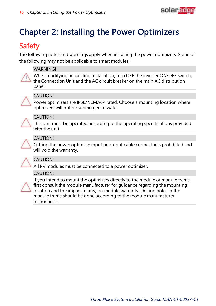

### <span id="page-16-1"></span><span id="page-16-0"></span>Chapter 2: Installing the Power Optimizers

### Safety

The following notes and warnings apply when installing the power optimizers. Some of the following may not be applicable to smart modules:

#### **WARNING!**

When modifying an existing installation, turn OFF the inverter ON/OFF switch, the Connection Unit and the AC circuit breaker on the main AC distribution panel.



#### CAUTION!

Power optimizers are IP68/NEMA6P rated. Choose a mounting location where optimizers will not be submerged in water.



#### CAUTION!

This unit must be operated according to the operating specifications provided with the unit.



#### CAUTION!

Cutting the power optimizer input or output cable connector is prohibited and will void the warranty.



#### CAUTION!

All PV modules must be connected to a power optimizer.

#### **CAUTION!**



If you intend to mount the optimizers directly to the module or module frame, first consult the module manufacturer for guidance regarding the mounting location and the impact, if any, on module warranty. Drilling holes in the module frame should be done according to the module manufacturer instructions.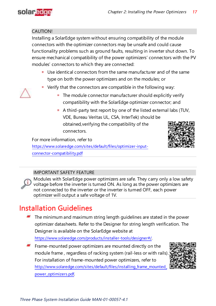

#### CAUTION!

Installing a SolarEdge system without ensuring compatibility of the module connectors with the optimizer connectors may be unsafe and could cause functionality problems such as ground faults, resulting in inverter shut down. To ensure mechanical compatibility of the power optimizers' connectors with the PV modules' connectors to which they are connected:

- Use identical connectors from the same manufacturer and of the same type on both the power optimizers and on the modules; or
- Verify that the connectors are compatible in the following way:
	- **The module connector manufacturer should explicitly verify** compatibility with the SolarEdge optimizer connector; and
	- A third-party test report by one of the listed external labs (TUV, VDE, Bureau Veritas UL, CSA, InterTek) should be obtained,verifying the compatibility of the connectors.

For more information, refer to [https://www.solaredge.com/sites/default/files/optimizer-input](https://www.solaredge.com/sites/default/files/optimizer-input-connector-compatibility.pdf)[connector-compatibility.pdf](https://www.solaredge.com/sites/default/files/optimizer-input-connector-compatibility.pdf)



#### IMPORTANT SAFETY FEATURE



Modules with SolarEdge power optimizers are safe. They carry only a low safety voltage before the inverter is turned ON. As long as the power optimizers are not connected to the inverter or the inverter is turned OFF, each power optimizer will output a safe voltage of 1V.

### <span id="page-17-0"></span>Installation Guidelines

a, The minimum and maximum string length guidelines are stated in the power optimizer datasheets. Refer to the Designer for string length verification. The Designer is available on the SolarEdge website at

<https://www.solaredge.com/products/installer-tools/designer#/>.

Frame-mounted power optimizers are mounted directly on the module frame , regardless of racking system (rail-less or with rails). For installation of frame-mounted power optimizers, refer to [http://www.solaredge.com/sites/default/files/installing\\_frame\\_mounted\\_](http://www.solaredge.com/sites/default/files/installing_frame_mounted_power_optimizers.pdf) [power\\_optimizers.pdf](http://www.solaredge.com/sites/default/files/installing_frame_mounted_power_optimizers.pdf).

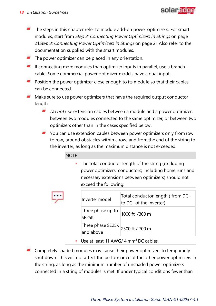$\blacksquare$  The steps in this chapter refer to module add-on power optimizers. For smart modules, start from Step 3: [Connecting](#page-21-0) Power Optimizers in Strings on [page](#page-21-0) [21](#page-21-0) Step 3: [Connecting](#page-21-0) Power Optimizers in Strings on [page](#page-21-0) 21 Also refer to the documentation supplied with the smart modules.

solaredge

- $\blacksquare$  The power optimizer can be placed in any orientation.
- $\blacksquare$  If connecting more modules than optimizer inputs in parallel, use a branch cable. Some commercial power optimizer models have a dual input.
- **Position the power optimizer close enough to its module so that their cables** can be connected.
- Make sure to use power optimizers that have the required output conductor length:
	- Do not use extension cables between a module and a power optimizer, between two modules connected to the same optimizer, or between two optimizers other than in the cases specified below.
	- You can use extension cables between power optimizers only from row to row, around obstacles within a row, and from the end of the string to the inverter, as long as the maximum distance is not exceeded.

**NOTE** 

**The total conductor length of the string (excluding** power optimizers' conductors; including home runs and necessary extensions between optimizers) should not exceed the following:

|  | Inverter model                                    | Total conductor length (from DC+<br>to DC- of the inverter) |
|--|---------------------------------------------------|-------------------------------------------------------------|
|  | Three phase up to<br>SF <sub>25</sub> K           | 1000 ft. /300 m                                             |
|  | Three phase SE25K<br>and above                    | 2300 ft./ 700 m                                             |
|  | Use at least 11 AWG/ 4 mm <sup>2</sup> DC cables. |                                                             |

Completely shaded modules may cause their power optimizers to temporarily shut down. This will not affect the performance of the other power optimizers in the string, as long as the minimum number of unshaded power optimizers connected in a string of modules is met. If under typical conditions fewer than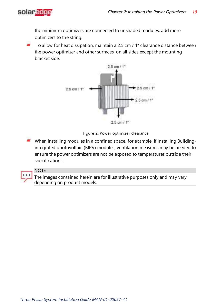

the minimum optimizers are connected to unshaded modules, add more optimizers to the string.

 $\blacksquare$  To allow for heat dissipation, maintain a 2.5 cm / 1" clearance distance between the power optimizer and other surfaces, on all sides except the mounting bracket side.



Figure 2: Power optimizer clearance

When installing modules in a confined space, for example, if installing Buildingintegrated photovoltaic (BIPV) modules, ventilation measures may be needed to ensure the power optimizers are not be exposed to temperatures outside their specifications.



#### **NOTE**

The images contained herein are for illustrative purposes only and may vary depending on product models.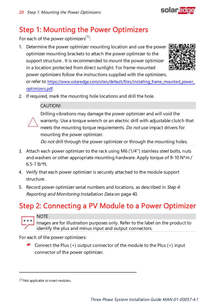### <span id="page-20-0"></span>Step 1: Mounting the Power Optimizers

For each of the power optimizers<sup>(1)</sup>:

1. Determine the power optimizer mounting location and use the power optimizer mounting brackets to attach the power optimizer to the support structure . It is recommended to mount the power optimizer in a location protected from direct sunlight. For frame-mounted power optimizers follow the instructions supplied with the optimizers,





solanado

or refer to [https://www.solaredge.com/sites/default/files/installing\\_frame\\_mounted\\_power\\_](https://www.solaredge.com/sites/default/files/installing_frame_mounted_power_optimizers.pdf) [optimizers.pdf](https://www.solaredge.com/sites/default/files/installing_frame_mounted_power_optimizers.pdf).

2. If required, mark the mounting hole locations and drill the hole.

#### CAUTION!



Drilling vibrations may damage the power optimizer and will void the warranty. Use a torque wrench or an electric drill with adjustable clutch that meets the mounting torque requirements. Do not use impact drivers for mounting the power optimizer.

Do not drill through the power optimizer or through the mounting holes.

- 3. Attach each power optimizer to the rack using M6 (1/4'') stainless steel bolts, nuts and washers or other appropriate mounting hardware. Apply torque of 9-10  $N<sup>*</sup>m$  / 6.5-7 lb\*ft.
- 4. Verify that each power optimizer is securely attached to the module support structure.
- 5. Record power optimizer serial numbers and locations, as described in *[Step](#page-40-1) 4*: Reporting and [Monitoring](#page-40-1) Installation Data on [page](#page-40-1) 40.

### <span id="page-20-1"></span>Step 2: Connecting a PV Module to a Power Optimizer

#### **NOTE**

Images are for illustration purposes only. Refer to the label on the product to identify the plus and minus input and output connectors.

For each of the power optimizers:

Connect the Plus  $(+)$  output connector of the module to the Plus  $(+)$  input connector of the power optimizer.

<sup>(1)</sup>Not applicable to smart modules.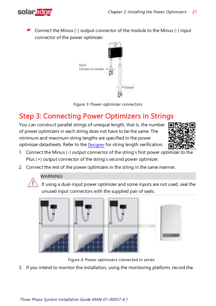

Connect the Minus (-) output connector of the module to the Minus (-) input connector of the power optimizer.



Figure 3: Power optimizer connectors

### <span id="page-21-0"></span>Step 3: Connecting Power Optimizers in Strings

You can construct parallel strings of unequal length, that is, the number of power optimizers in each string does not have to be the same. The minimum and maximum string lengths are specified in the power optimizer datasheets. Refer to the [Designer](https://www.solaredge.com/products/installer-tools/designer#/) for string length verification.



- 1. Connect the Minus (-) output connector of the string's first power optimizer to the Plus (+) output connector of the string's second power optimizer.
- 2. Connect the rest of the power optimizers in the string in the same manner.



#### **WARNING!**

If using a dual-input power optimizer and some inputs are not used, seal the unused input connectors with the supplied pair of seals.



Figure 4: Power optimizers connected in series

3. If you intend to monitor the installation, using the monitoring platform, record the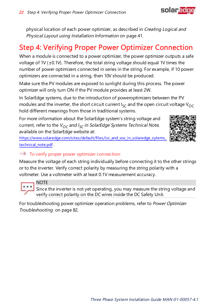

physical location of each power optimizer, as described in [Creating](#page-41-1) Logical and Physical Layout using Installation [Information](#page-41-1) on [page](#page-41-1) 41.

### <span id="page-22-0"></span>Step 4: Verifying Proper Power Optimizer Connection

When a module is connected to a power optimizer, the power optimizer outputs a safe voltage of 1V  $(\pm 0.1V)$ . Therefore, the total string voltage should equal 1V times the number of power optimizers connected in series in the string. For example, if 10 power optimizers are connected in a string, then 10V should be produced.

Make sure the PV modules are exposed to sunlight during this process. The power optimizer will only turn ON if the PV module provides at least 2W.

In SolarEdge systems, due to the introduction of poweroptimizers between the PV modules and the inverter, the short circuit current  $I_{SC}$  and the open circuit voltage  $V_{OC}$ hold different meanings from those in traditional systems.

For more information about the SolarEdge system's string voltage and current, refer to the *V<sub>OC</sub> and I<sub>SC</sub> in SolarEdge Systems Technical Note*, available on the SolarEdge website at:



[https://www.solaredge.com/sites/default/files/isc\\_and\\_voc\\_in\\_solaredge\\_sytems\\_](https://www.solaredge.com/sites/default/files/isc_and_voc_in_solaredge_sytems_technical_note.pdf) technical note.pdf.

#### $\blacksquare$  To verify proper power optimizer connection:

Measure the voltage of each string individually before connecting it to the other strings or to the inverter. Verify correct polarity by measuring the string polarity with a voltmeter. Use a voltmeter with at least 0.1V measurement accuracy.



#### **NOTE**

Since the inverter is not yet operating, you may measure the string voltage and verify correct polarity on the DC wires inside the DC Safety Unit.

For troubleshooting power optimizer operation problems, refer to Power [Optimizer](#page-82-0) [Troubleshooting](#page-82-0) on [page](#page-82-0) 82.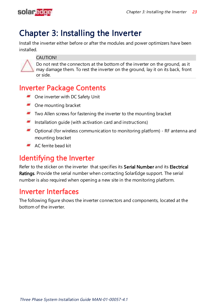<span id="page-23-0"></span>

### Chapter 3: Installing the Inverter

Install the inverter either before or after the modules and power optimizers have been installed.

#### **CAUTION!**

Do not rest the connectors at the bottom of the inverter on the ground, as it may damage them. To rest the inverter on the ground, lay it on its back, front or side.

### <span id="page-23-1"></span>Inverter Package Contents

- **COLO** One inverter with DC Safety Unit
- One mounting bracket
- **Two Allen screws for fastening the inverter to the mounting bracket**
- $\blacksquare$  Installation guide (with activation card and instructions)
- Optional (for wireless communication to monitoring platform) RF antenna and mounting bracket
- **AC** ferrite bead kit

### <span id="page-23-2"></span>Identifying the Inverter

Refer to the sticker on the inverter that specifies its Serial Number and its Electrical Ratings. Provide the serial number when contacting SolarEdge support. The serial number is also required when opening a new site in the monitoring platform.

### <span id="page-23-3"></span>Inverter Interfaces

The following figure shows the inverter connectors and components, located at the bottom of the inverter.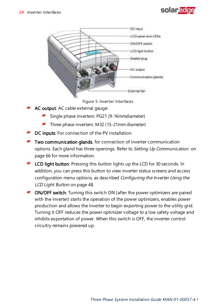### solaredge



Figure 5: Inverter Interfaces

- AC output: AC cable external gauge:
	- Single phase inverters: PG21 (9-16mmdiameter)
	- Three phase inverters: M32 (15-21mm diameter)
- DC inputs: For connection of the PV installation
- Two communication glands, for connection of inverter communication options. Each gland has three openings. Refer to Setting Up [Communication](#page-66-0) [on](#page-66-0) [page](#page-66-0) 66 for more information.
- **LCD light button**: Pressing this button lights up the LCD for 30 seconds. In addition, you can press this button to view inverter status screens and access configuration menu options, as described [Configuring](#page-48-0) the Inverter Using the LCD [Light](#page-48-0) Button on [page](#page-48-0) 48.
- ON/OFF switch: Turning this switch ON (after the power optimizers are paired with the inverter) starts the operation of the power optimizers, enables power production and allows the inverter to begin exporting power to the utility grid. Turning it OFF reduces the power optimizer voltage to a low safety voltage and inhibits exportation of power. When this switch is OFF, the inverter control circuitry remains powered up.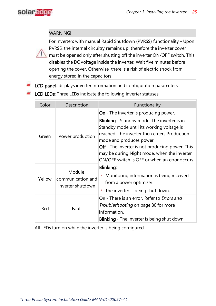

#### **WARNING!**

For inverters with manual Rapid Shutdown (PVRSS) functionality - Upon PVRSS, the internal circuitry remains up, therefore the inverter cover must be opened only after shutting off the inverter ON/OFF switch. This disables the DC voltage inside the inverter. Wait five minutes before opening the cover. Otherwise, there is a risk of electric shock from energy stored in the capacitors.

**CD** panel: displays inverter information and configuration parameters

**CD LEDs:** Three LEDs indicate the following inverter statuses:

| Color  | Description                                      | Functionality                                                                                                                                                                                                                                                                                                                  |  |  |  |
|--------|--------------------------------------------------|--------------------------------------------------------------------------------------------------------------------------------------------------------------------------------------------------------------------------------------------------------------------------------------------------------------------------------|--|--|--|
|        |                                                  | <b>On</b> - The inverter is producing power.                                                                                                                                                                                                                                                                                   |  |  |  |
| Green  | Power production                                 | Blinking - Standby mode. The inverter is in<br>Standby mode until its working voltage is<br>reached. The inverter then enters Production<br>mode and produces power.<br><b>Off</b> - The inverter is not producing power. This<br>may be during Night mode, when the inverter<br>ON/OFF switch is OFF or when an error occurs. |  |  |  |
|        |                                                  | <b>Blinking:</b>                                                                                                                                                                                                                                                                                                               |  |  |  |
| Yellow | Module<br>communication and<br>inverter shutdown | Monitoring information is being received<br>from a power optimizer.<br>The inverter is being shut down.<br>۳                                                                                                                                                                                                                   |  |  |  |
|        |                                                  | <b>On</b> - There is an error. Refer to <i>Errors and</i>                                                                                                                                                                                                                                                                      |  |  |  |
| Red    | Fault                                            | <i>Troubleshooting</i> on page 80 for more<br>information.<br><b>Blinking</b> - The inverter is being shut down.                                                                                                                                                                                                               |  |  |  |

All LEDs turn on while the inverter is being configured.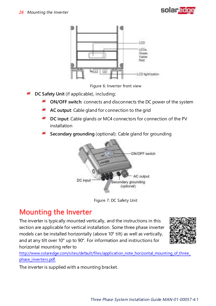



- **DC Safety Unit** (if applicable), including:
	- **ON/OFF switch**: connects and disconnects the DC power of the system
	- **AC output**: Cable gland for connection to the grid
	- **DC** input: Cable glands or MC4 connectors for connection of the PV installation
	- **Secondary grounding** (optional): Cable gland for grounding



Figure 7: DC Safety Unit

### <span id="page-26-0"></span>Mounting the Inverter

The inverter is typically mounted vertically, and the instructions in this section are applicable for vertical installation. Some three phase inverter models can be installed horizontally (above 10° tilt) as well as vertically, and at any tilt over 10° up to 90°. For information and instructions for horizontal mounting refer to



http://www.solaredge.com/sites/default/files/application\_note\_horizontal\_mounting\_of\_three [phase\\_inverters.pdf.](http://www.solaredge.com/sites/default/files/application_note_horizontal_mounting_of_three_phase_inverters.pdf)

The inverter is supplied with a mounting bracket.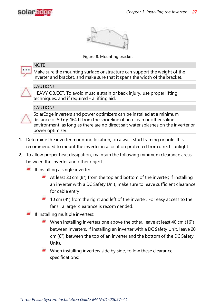



Figure 8: Mounting bracket



#### **NOTE**

Make sure the mounting surface or structure can support the weight of the inverter and bracket, and make sure that it spans the width of the bracket.



#### CAUTION!

HEAVY OBJECT. To avoid muscle strain or back injury, use proper lifting techniques, and if required - a lifting aid.

#### CAUTION!



SolarEdge inverters and power optimizers can be installed at a minimum distance of 50 m/ 164 ft from the shoreline of an ocean or other saline environment, as long as there are no direct salt water splashes on the inverter or power optimizer.

- 1. Determine the inverter mounting location, on a wall, stud framing or pole. It is recommended to mount the inverter in a location protected from direct sunlight.
- 2. To allow proper heat dissipation, maintain the following minimum clearance areas between the inverter and other objects:
	- $\blacksquare$  If installing a single inverter:
		- At least 20 cm (8") from the top and bottom of the inverter; if installing an inverter with a DC Safety Unit, make sure to leave sufficient clearance for cable entry.
		- $\blacksquare$  10 cm (4") from the right and left of the inverter. For easy access to the fans , a larger clearance is recommended.
	- $\blacksquare$  If installing multiple inverters:
		- When installing inverters one above the other, leave at least 40 cm (16") between inverters. If installing an inverter with a DC Safety Unit, leave 20 cm (8") between the top of an inverter and the bottom of the DC Safety Unit).
		- When installing inverters side by side, follow these clearance specifications: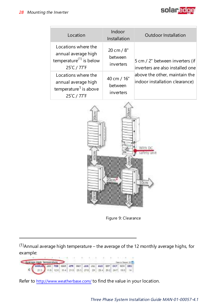

| Location                                                                                         | Indoor<br>Installation              | <b>Outdoor Installation</b>                                         |
|--------------------------------------------------------------------------------------------------|-------------------------------------|---------------------------------------------------------------------|
| Locations where the<br>annual average high<br>temperature <sup>(1)</sup> is below<br>25°C / 77°F | 20 cm / 8"<br>between<br>inverters  | 5 cm / 2" between inverters (if<br>inverters are also installed one |
| Locations where the<br>annual average high<br>temperature <sup>1</sup> is above<br>25°C / 77°F   | 40 cm / 16"<br>between<br>inverters | above the other, maintain the<br>indoor installation clearance)     |



Figure 9: Clearance

(1)Annual average high temperature – the average of the 12 monthly average highs, for example:

|                                | and the company of the state of the state of the state of the state of the state of the state of the state of the                                                                                                                                                                           |  |  |  |  |  |                         |
|--------------------------------|---------------------------------------------------------------------------------------------------------------------------------------------------------------------------------------------------------------------------------------------------------------------------------------------|--|--|--|--|--|-------------------------|
| <b>Avenue High Tensonature</b> |                                                                                                                                                                                                                                                                                             |  |  |  |  |  | <b>Flamin Front III</b> |
|                                |                                                                                                                                                                                                                                                                                             |  |  |  |  |  |                         |
|                                | $\mathbf{C} \left( \begin{array}{ccc} 0.043329 & 0.04 & 0.08 \\ 0.05 & 0.06 & 0.04 & 0.04 \\ 0.06 & 0.07 & 0.04 & 0.04 \\ 0.07 & 0.06 & 0.04 & 0.04 \\ 0.07 & 0.07 & 0.04 & 0.04 \\ 0.08 & 0.07 & 0.07 & 0.04 \\ 0.09 & 0.07 & 0.07 & 0.06 \\ 0.01 & 0.07 & 0.07 & 0.06 \\ 0.01 & 0.07 & 0$ |  |  |  |  |  |                         |

Refer to <http://www.weatherbase.com/> to find the value in your location.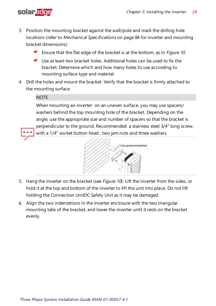

- 3. Position the mounting bracket against the wall/pole and mark the drilling hole locations (refer to Mechanical [Specifications](#page-84-0) on [page](#page-84-0) 84 for inverter and mounting bracket dimensions):
	- **E** Ensure that the flat edge of the bracket is at the bottom, as in *[Figure](#page-30-0) 10*.
	- Use at least two bracket holes. Additional holes can be used to fix the bracket. Determine which and how many holes to use according to mounting surface type and material.
- 4. Drill the holes and mount the bracket. Verify that the bracket is firmly attached to the mounting surface.

#### **NOTE**

When mounting an inverter on an uneven surface, you may use spacers/ washers behind the top mounting hole of the bracket. Depending on the angle, use the appropriate size and number of spacers so that the bracket is perpendicular to the ground. Recommended: a stainless steel 3/4" long screw,

with a 1/4" socket button head , two jam nuts and three washers.



- 5. Hang the inverter on the bracket (see [Figure](#page-30-0) 10): Lift the inverter from the sides, or hold it at the top and bottom of the inverter to lift the unit into place. Do not lift holding the Connection UnitDC Safety Unit as it may be damaged.
- 6. Align the two indentations in the inverter enclosure with the two triangular mounting tabs of the bracket, and lower the inverter until it rests on the bracket evenly.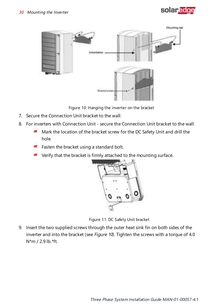



Figure 10: Hanging the inverter on the bracket

- <span id="page-30-0"></span>7. Secure the Connection Unit bracket to the wall:
- 8. For inverters with Connection Unit secure the Connection Unit bracket to the wall:
	- Mark the location of the bracket screw for the DC Safety Unit and drill the hole.
	- **Fasten the bracket using a standard bolt.**
	- $\blacksquare$  Verify that the bracket is firmly attached to the mounting surface.



Figure 11: DC Safety Unit bracket

9. Insert the two supplied screws through the outer heat sink fin on both sides of the inverter and into the bracket (see [Figure](#page-30-0) 10). Tighten the screws with a torque of 4.0 N\*m / 2.9 lb.\*ft.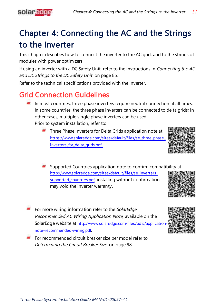<span id="page-31-0"></span>

### Chapter 4: Connecting the AC and the Strings to the Inverter

This chapter describes how to connect the inverter to the AC grid, and to the strings of modules with power optimizers.

If using an inverter with a DC Safety Unit, refer to the instructions in [Connecting](#page-85-0) the AC and [DC Strings](#page-85-0) to the DC Safety Unit on [page](#page-85-0) 85.

<span id="page-31-1"></span>Refer to the technical specifications provided with the inverter.

### Grid Connection Guidelines

- $\blacksquare$  In most countries, three phase inverters require neutral connection at all times. In some countries, the three phase inverters can be connected to delta grids; in other cases, multiple single phase inverters can be used. Prior to system installation, refer to:
	- **Three Phase Inverters for Delta Grids application note at** [https://www.solaredge.com/sites/default/files/se\\_three\\_phase\\_](https://www.solaredge.com/sites/default/files/se_three_phase_inverters_for_delta_grids.pdf) [inverters\\_for\\_delta\\_grids.pdf](https://www.solaredge.com/sites/default/files/se_three_phase_inverters_for_delta_grids.pdf)



- Supported Countries application note to confirm compatibility at [http://www.solaredge.com/sites/default/files/se\\_inverters\\_](http://www.solaredge.com/sites/default/files/se_inverters_supported_countries.pdf) supported countries.pdf; installing without confirmation may void the inverter warranty.
- For more wiring information refer to the SolarEdge Recommended AC Wiring Application Note, available on the SolarEdge website at [http://www.solaredge.com/files/pdfs/application](http://www.solaredge.com/files/pdfs/application-note-recommended-wiring.pdf)[note-recommended-wiring.pdf](http://www.solaredge.com/files/pdfs/application-note-recommended-wiring.pdf).
- For recommended circuit breaker size per model refer to [Determining](#page-98-0) the Circuit Breaker Size on [page](#page-98-0) 98

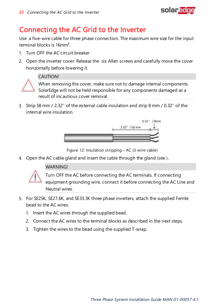

### <span id="page-32-0"></span>Connecting the AC Grid to the Inverter

Use a five-wire cable for three phase connection. The maximum wire size for the input terminal blocks is 16mm².

- 1. Turn OFF the AC circuit breaker.
- 2. Open the inverter cover: Release the six Allen screws and carefully move the cover horizontally before lowering it.

#### CAUTION!

When removing the cover, make sure not to damage internal components. SolarEdge will not be held responsible for any components damaged as a result of incautious cover removal.

3. Strip 58 mm / 2.32'' of the external cable insulation and strip 8 mm / 0.32'' of the internal wire insulation.



Figure 12: Insulation stripping – AC (3-wire cable)

4. Open the AC cable gland and insert the cable through the gland (see ).

#### WARNING!



Turn OFF the AC before connecting the AC terminals. If connecting equipment grounding wire, connect it before connecting the AC Line and Neutral wires.

- 5. For SE25K, SE27.6K, and SE33.3K three phase inverters, attach the supplied Ferrite bead to the AC wires:
	- 1. Insert the AC wires through the supplied bead.
	- 2. Connect the AC wires to the terminal blocks as described in the next steps.
	- 3. Tighten the wires to the bead using the supplied T-wrap.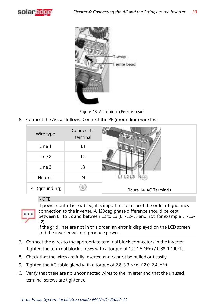



Figure 13: Attaching a Ferrite bead

6. Connect the AC, as follows. Connect the PE (grounding) wire first.

| Wire type      | Connect to<br>terminal |                         |
|----------------|------------------------|-------------------------|
| Line 1         | L1                     |                         |
| Line 2         | L <sub>2</sub>         |                         |
| Line 3         | L <sub>3</sub>         |                         |
| Neutral        | N                      |                         |
| PE (grounding) | <b>STATISTICS</b>      | Figure 14: AC Terminals |

#### **NOTE**

If power control is enabled, it is important to respect the order of grid lines connection to the inverter. A 120deg phase difference should be kept between L1 to L2 and between L2 to L3 (L1-L2-L3 and not, for example L1-L3- L2).

If the grid lines are not in this order, an error is displayed on the LCD screen and the inverter will not produce power.

- 7. Connect the wires to the appropriate terminal block connectors in the inverter. Tighten the terminal block screws with a torque of  $1.2$ -1.5 N\*m / 0.88-1.1 lb\*ft.
- 8. Check that the wires are fully inserted and cannot be pulled out easily.
- 9. Tighten the AC cable gland with a torque of 2.8-3.3 N\*m / 2.0-2.4 lb\*ft.
- 10. Verify that there are no unconnected wires to the inverter and that the unused terminal screws are tightened.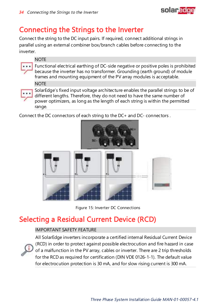

### <span id="page-34-0"></span>Connecting the Strings to the Inverter

Connect the string to the DC input pairs. If required, connect additional strings in parallel using an external combiner box/branch cables before connecting to the inverter.



Functional electrical earthing of DC-side negative or positive poles is prohibited because the inverter has no transformer. Grounding (earth ground) of module frames and mounting equipment of the PV array modules is acceptable. **NOTE** 



SolarEdge's fixed input voltage architecture enables the parallel strings to be of different lengths. Therefore, they do not need to have the same number of power optimizers, as long as the length of each string is within the permitted range.

Connect the DC connectors of each string to the DC+ and DC- connectors .





Figure 15: Inverter DC Connections

### <span id="page-34-1"></span>Selecting a Residual Current Device (RCD)

#### IMPORTANT SAFETY FEATURE



All SolarEdge inverters incorporate a certified internal Residual Current Device (RCD) in order to protect against possible electrocution and fire hazard in case of a malfunction in the PV array, cables or inverter. There are 2 trip thresholds for the RCD as required for certification (DIN VDE 0126-1-1). The default value for electrocution protection is 30 mA, and for slow rising current is 300 mA.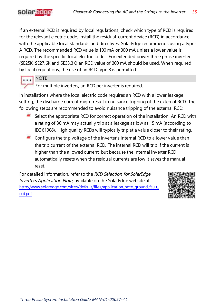

If an external RCD is required by local regulations, check which type of RCD is required for the relevant electric code. Install the residual-current device (RCD) in accordance with the applicable local standards and directives. SolarEdge recommends using a type-A RCD. The recommended RCD value is 100 mA or 300 mA unless a lower value is required by the specific local electric codes. For extended power three phase inverters (SE25K, SE27.6K and SE33.3K) an RCD value of 300 mA should be used. When required by local regulations, the use of an RCD type B is permitted.



### **NOTE**

For multiple inverters, an RCD per inverter is required.

In installations where the local electric code requires an RCD with a lower leakage setting, the discharge current might result in nuisance tripping of the external RCD. The following steps are recommended to avoid nuisance tripping of the external RCD:

- Select the appropriate RCD for correct operation of the installation: An RCD with a rating of 30 mA may actually trip at a leakage as low as 15 mA (according to IEC 61008). High quality RCDs will typically trip at a value closer to their rating.
- Configure the trip voltage of the inverter's internal RCD to a lower value than the trip current of the external RCD. The internal RCD will trip if the current is higher than the allowed current, but because the internal inverter RCD automatically resets when the residual currents are low it saves the manual reset.

For detailed information, refer to the RCD Selection for SolarEdge Inverters Application Note, available on the SolarEdge website at [http://www.solaredge.com/sites/default/files/application\\_note\\_ground\\_fault\\_](http://www.solaredge.com/sites/default/files/application_note_ground_fault_rcd.pdf) [rcd.pdf](http://www.solaredge.com/sites/default/files/application_note_ground_fault_rcd.pdf).

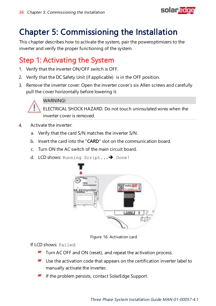

# Chapter 5: Commissioning the Installation

This chapter describes how to activate the system, pair the poweroptimizers to the inverter and verify the proper functioning of the system.

# Step 1: Activating the System

- 1. Verify that the inverter ON/OFF switch is OFF.
- 2. Verify that the DC Safety Unit (if applicable) is in the OFF position.
- 3. Remove the inverter cover: Open the inverter cover's six Allen screws and carefully pull the cover horizontally before lowering it.



### WARNING!

ELECTRICAL SHOCK HAZARD. Do not touch uninsulated wires when the inverter cover is removed.

- 4. Activate the inverter:
	- a. Verify that the card S/N matches the inverter S/N.
	- b. Insert the card into the "**CARD**" slot on the communication board.
	- c. Turn ON the AC switch of the main circuit board.
	- d. LCD shows: Running Script... > Done!



Figure 16: Activation card

If LCD shows: Failed:

- **Turn AC OFF and ON (reset), and repeat the activation process.**
- Use the activation code that appears on the certification inverter label to manually activate the inverter.
- If the problem persists, contact SolarEdge Support.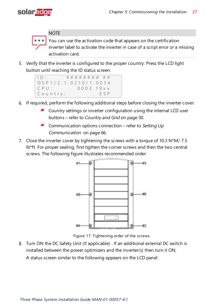

**NOTE** 



You can use the activation code that appears on the certification inverter label to activate the inverter in case of a script error or a missing activation card.

5. Verify that the inverter is configured to the proper country: Press the LCD light button until reaching the ID status screen:



- 6. If required, perform the following additional steps before closing the inverter cover:
	- **Country settings or inverter configuration using the internal LCD user** buttons – refer to [Country](#page-50-0) and Grid on [page](#page-50-0) 50.
	- $\blacksquare$  Communication options connection refer to [Setting](#page-66-0) Up [Communication](#page-66-0) on [page](#page-66-0) 66.
- 7. Close the inverter cover by tightening the screws with a torque of 10.3 N\*M/ 7.5 lb\*ft. For proper sealing, first tighten the corner screws and then the two central screws. The following figure illustrates recommended order:



Figure 17: Tightening order of the screws

8. Turn ON the DC Safety Unit (if applicable) . If an additional external DC switch is installed between the power optimizers and the inverter(s) then turn it ON. A status screen similar to the following appears on the LCD panel: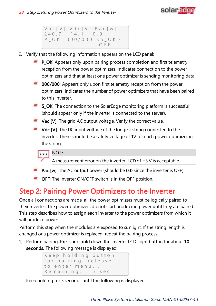

```
Vac [ V ] V d c [ V ] P a c [ w ]
240.7 14.1 0.0P O K: 0 0 0 / 0 0 0 < S _ O K >
  - - - - - - - - - - - - - - - O F F
```
- 9. Verify that the following information appears on the LCD panel:
	- P\_OK: Appears only upon pairing process completion and first telemetry reception from the power optimizers. Indicates connection to the power optimizers and that at least one power optimizer is sending monitoring data.
	- <sup>1</sup> 000/000: Appears only upon first telemetry reception from the power optimizers. Indicates the number of power optimizers that have been paired to this inverter.
	- S\_OK: The connection to the SolarEdge monitoring platform is successful (should appear only if the inverter is connected to the server).
	- **Vac [V]:** The grid AC output voltage. Verify the correct value.
	- $\blacksquare$  Vdc [V]: The DC input voltage of the longest string connected to the inverter. There should be a safety voltage of 1V for each power optimizer in the string.

```
NOTE
...
```
A measurement error on the inverter LCD of  $\pm 3$  V is acceptable.

- **Pac [w]:** The AC output power (should be  $0.0$  since the inverter is OFF).
- OFF: The inverter ON/OFF switch is in the OFF position.

# Step 2: Pairing Power Optimizers to the Inverter

Once all connections are made, all the power optimizers must be logically paired to their inverter. The power optimizers do not start producing power until they are paired. This step describes how to assign each inverter to the power optimizers from which it will produce power.

Perform this step when the modules are exposed to sunlight. If the string length is changed or a power optimizer is replaced, repeat the pairing process.

1. Perform pairing: Press and hold down the inverter LCD Light button for about 10 seconds. The following message is displayed:

```
Keep holding button
for pairing, release
to enter menu...
Remaining: 3 sec
```
Keep holding for 5 seconds until the following is displayed: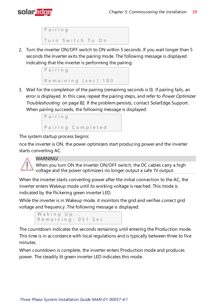

```
P a i r i n g
Turn Switch To On
```
2. Turn the inverter ON/OFF switch to ON within 5 seconds. If you wait longer than 5 seconds the inverter exits the pairing mode. The following message is displayed indicating that the inverter is performing the pairing:

```
Pairing
Remaining [sec]: 180
```
3. Wait for the completion of the pairing (remaining seconds is 0). If pairing fails, an error is displayed. In this case, repeat the pairing steps, and refer to Power [Optimizer](#page-82-0) [Troubleshooting](#page-82-0) on [page](#page-82-0) 82. If the problem persists, contact SolarEdge Support. When pairing succeeds, the following message is displayed:

```
Pairing
Pairing Completed
```
The system startup process begins:

nce the inverter is ON, the power optimizers start producing power and the inverter starts converting AC.



### WARNING!

When you turn ON the inverter ON/OFF switch, the DC cables carry a high voltage and the power optimizers no longer output a safe 1V output.

When the inverter starts converting power after the initial connection to the AC, the inverter enters Wakeup mode until its working voltage is reached. This mode is indicated by the flickering green inverter LED.

While the inverter is in Wakeup mode, it monitors the grid and verifies correct grid voltage and frequency. The following message is displayed:

```
Waking Up...
Remaining: 051 Sec
```
The countdown indicates the seconds remaining until entering the Production mode. This time is in accordance with local regulations and is typically between three to five minutes.

When countdown is complete, the inverter enters Production mode and produces power. The steadily lit green inverter LED indicates this mode.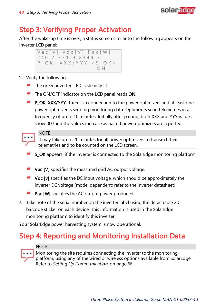

# Step 3: Verifying Proper Activation

After the wake-up time is over, a status screen similar to the following appears on the inverter LCD panel:

V a c [ V ] V d c [ V ] P a c [ W ] 2 4 0 . 7 3 7 1 . 9 2 3 4 9 . 3 P \_ O K : X X X / Y Y Y < S \_ O K > O N

- 1. Verify the following:
	- $\blacksquare$  The green inverter LED is steadily lit.
	- The ON/OFF indicator on the LCD panel reads ON.
	- **P\_OK: XXX/YYY:** There is a connection to the power optimizers and at least one power optimizer is sending monitoring data. Optimizers send telemetries in a frequency of up to 10 minutes. Initially after pairing, both XXX and YYY values show 000 and the values increase as paired poweroptimizers are reported.



It may take up to 20 minutes for all power optimizers to transmit their telemetries and to be counted on the LCD screen.

- S\_OK appears, if the inverter is connected to the SolarEdge monitoring platform.
- $\blacksquare$  Vac [V] specifies the measured grid AC output voltage.
- $\blacksquare$  Vdc [v] specifies the DC input voltage, which should be approximately the inverter DC voltage (model dependent; refer to the inverter datasheet)
- Pac [W] specifies the AC output power produced.
- 2. Take note of the serial number on the inverter label using the detachable 2D barcode sticker on each device. This information is used in the SolarEdge monitoring platform to identify this inverter.

Your SolarEdge power harvesting system is now operational.

# Step 4: Reporting and Monitoring Installation Data

#### **NOTE**

Monitoring the site requires connecting the inverter to the monitoring platform, using any of the wired or wireless options available from SolarEdge. Refer to Setting Up [Communication](#page-66-0) on [page](#page-66-0) 66.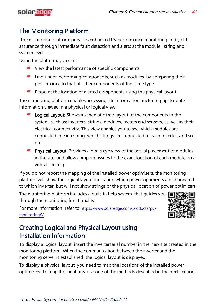

## The Monitoring Platform

The monitoring platform provides enhanced PV performance monitoring and yield assurance through immediate fault detection and alerts at the module , string and system level.

Using the platform, you can:

- View the latest performance of specific components.
- $\blacksquare$  Find under-performing components, such as modules, by comparing their performance to that of other components of the same type.
- Pinpoint the location of alerted components using the physical layout.

The monitoring platform enables accessing site information, including up-to-date information viewed in a physical or logical view:

- **Logical Layout:** Shows a schematic tree-layout of the components in the system, such as: inverters, strings, modules, meters and sensors, as well as their electrical connectivity. This view enables you to see which modules are connected in each string, which strings are connected to each inverter, and so on.
- **Physical Layout:** Provides a bird's eye view of the actual placement of modules in the site, and allows pinpoint issues to the exact location of each module on a virtual site map.

If you do not report the mapping of the installed power optimizers, the monitoring platform will show the logical layout indicating which power optimizers are connected to which inverter, but will not show strings or the physical location of power optimizers.

The monitoring platform includes a built-in help system, that guides you through the monitoring functionality.

For more information, refer to [https://www.solaredge.com/products/pv](https://www.solaredge.com/products/pv-monitoring#/)[monitoring#/](https://www.solaredge.com/products/pv-monitoring#/).



## Creating Logical and Physical Layout using Installation Information

To display a logical layout, insert the inverterserial number in the new site created in the monitoring platform. When the communication between the inverter and the monitoring server is established, the logical layout is displayed.

To display a physical layout, you need to map the locations of the installed power optimizers. To map the locations, use one of the methods described in the next sections.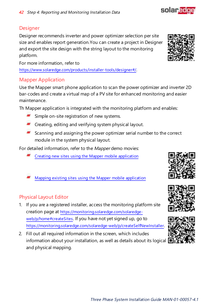### **Designer**

Designer recommends inverter and power optimizer selection per site size and enables report generation.You can create a project in Designer and export the site design with the string layout to the monitoring platform.

For more information, refer to <https://www.solaredge.com/products/installer-tools/designer#/>.

## Mapper Application

Use the Mapper smart phone application to scan the power optimizer and inverter 2D bar-codes and create a virtual map of a PV site for enhanced monitoring and easier maintenance.

Th Mapper application is integrated with the monitoring platform and enables:

- Simple on-site registration of new systems.
- **Creating, editing and verifying system physical layout.**
- Scanning and assigning the power optimizer serial number to the correct module in the system physical layout.

For detailed information, refer to the Mapper demo movies:

- Creating new sites using the Mapper mobile [application](https://www.youtube.com/watch?v=NM4FbleGNUc)
- Mapping existing sites using the Mapper mobile [application](https://www.youtube.com/watch?v=JbriIDSrsOQ)

## Physical Layout Editor

- 1. If you are a registered installer, access the monitoring platform site creation page at [https://monitoring.solaredge.com/solaredge](https://monitoring.solaredge.com/solaredge-web/p/home#createSites)[web/p/home#createSites](https://monitoring.solaredge.com/solaredge-web/p/home#createSites). If you have not yet signed up, go to [https://monitoring.solaredge.com/solaredge-web/p/createSelfNewInstaller](https://monitoringpublic.solaredge.com/solaredge-web/p/createSelfNewInstaller?locale=en_US).
- 2. Fill out all required information in the screen, which includes information about your installation, as well as details about its logical and physical mapping.







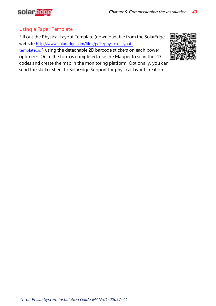

### Using a Paper Template

Fill out the Physical Layout Template (downloadable from the SolarEdge website [http://www.solaredge.com/files/pdfs/physical-layout](http://www.solaredge.com/files/pdfs/physical-layout-template.pdf)[template.pdf](http://www.solaredge.com/files/pdfs/physical-layout-template.pdf)) using the detachable 2D barcode stickers on each power optimizer. Once the form is completed, use the Mapper to scan the 2D codes and create the map in the monitoring platform. Optionally, you can send the sticker sheet to SolarEdge Support for physical layout creation.

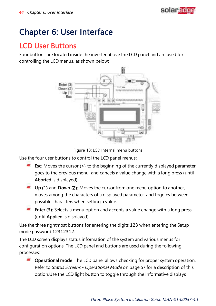

# Chapter 6: User Interface

# LCD User Buttons

Four buttons are located inside the inverter above the LCD panel and are used for controlling the LCD menus, as shown below:



Figure 18: LCD Internal menu buttons

Use the four user buttons to control the LCD panel menus:

- a. **Esc**: Moves the cursor (>) to the beginning of the currently displayed parameter; goes to the previous menu, and cancels a value change with a long press (until **Aborted** is displayed).
- **Up** (1) and **Down** (2): Moves the cursor from one menu option to another, moves among the characters of a displayed parameter, and toggles between possible characters when setting a value.
- **Enter (3)**: Selects a menu option and accepts a value change with a long press (until **Applied** is displayed).

Use the three rightmost buttons for entering the digits **123** when entering the Setup mode password **12312312**.

The LCD screen displays status information of the system and various menus for configuration options. The LCD panel and buttons are used during the following processes:

Operational mode: The LCD panel allows checking for proper system operation. Refer to Status Screens - [Operational](#page-57-0) Mode on [page](#page-57-0) 57 for a description of this option.Use the LCD light button to toggle through the informative displays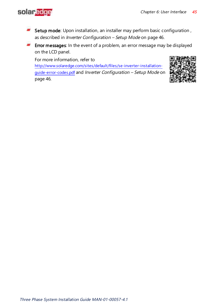# solaredge

- Setup mode: Upon installation, an installer may perform basic configuration, as described in [Inverter Configuration](#page-46-0) – Setup Mode on [page](#page-46-0) 46.
- **Error messages:** In the event of a problem, an error message may be displayed on the LCD panel.

For more information, refer to [http://www.solaredge.com/sites/default/files/se-inverter-installation](http://www.solaredge.com/sites/default/files/se-inverter-installation-guide-error-codes.pdf)[guide-error-codes.pdf](http://www.solaredge.com/sites/default/files/se-inverter-installation-guide-error-codes.pdf) and [Inverter Configuration](#page-46-0) – Setup Mode [on](#page-46-0) [page](#page-46-0) 46.

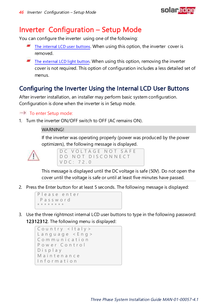

## <span id="page-46-0"></span>Inverter Configuration – Setup Mode

You can configure the inverter using one of the following:

- The [internal](#page-46-1) LCD user buttons. When using this option, the inverter cover is removed.
- The [external](#page-48-0) LCD light button. When using this option, removing the inverter cover is not required. This option of configuration includes a less detailed set of menus.

## <span id="page-46-1"></span>Configuring the Inverter Using the Internal LCD User Buttons

After inverter installation, an installer may perform basic system configuration. Configuration is done when the inverter is in Setup mode.

#### $\rightarrow$  To enter Setup mode:

1. Turn the inverter ON/OFF switch to OFF (AC remains ON).

#### **WARNING!**

If the inverter was operating properly (power was produced by the power optimizers), the following message is displayed.



| DC VOLTAGE NOT SAFE |  |  |
|---------------------|--|--|
| DO NOT DISCONNECT   |  |  |
| VDC: 72.0           |  |  |

This message is displayed until the DC voltage is safe (50V). Do not open the cover until the voltage is safe or until at least five minutes have passed.

2. Press the Enter button for at least 5 seconds. The following message is displayed:

```
Please enter
   P a s s w o r d
* * * * * * * *
```
3. Use the three rightmost internal LCD user buttons to type in the following password: 12312312. The following menu is displayed:

```
C o u n t r y < I t a I y >
L a n g u a g e < E n g >
C o m m u n i c a t i o n
Power Control
D i s p l a y
M a i n t e n a n c e
I n f o r m a t i o n
```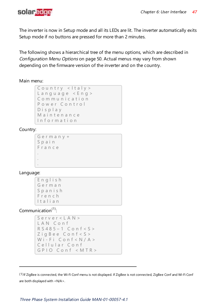

The inverter is now in Setup mode and all its LEDs are lit. The inverter automatically exits Setup mode if no buttons are pressed for more than 2 minutes.

The following shows a hierarchical tree of the menu options, which are described in [Configuration](#page-50-1) Menu Options on [page](#page-50-1) 50. Actual menus may vary from shown depending on the firmware version of the inverter and on the country.

#### Main menu:

```
C o u n t r y < I t a l y >
L anguage \lt Eng >Communication
Power Control
D i s p l a y
M a intenance
I n f o r m a t i o n
```
#### Country:

```
G e r m a n y +
S p a i n
F r a n c e
.
.
.
```
#### Language:

E n g l i s h G e r m a n S p a n i s h F r e n c h I t a l i a n

### Communication $<sup>(1)</sup>$ :</sup>

```
Server < LAN >
L A N C o n f
RS485 - 1 Conf < S >
Zig Bee Conf < S >
Wi-Fi Conf < N/A >
Cellular Conf
G P I O Conf \prec M T R >
```
(1)If ZigBee is connected, the Wi-Fi Conf menu is not displayed. If ZigBee is not connected, ZigBee Conf and Wi-Fi Conf are both displayed with <N/A>.

Three Phase System Installation Guide MAN-01-00057-4.1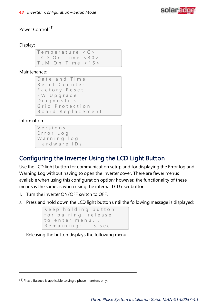

#### Power Control (1):

#### Display:

 $T$  e m p e r a t u r e < C > L C D O n Time  $\langle 30 \rangle$  $TLM$  On Time < 15 >

#### Maintenance:

```
D a t e and Time
Reset Counters
Factory Reset
F W U p g r a d e
D i a g n o s t i c s
Grid Protection
B o a r d R e p l a c e m e n t
```
#### Information:

```
V e r s i o n s
E r r o r L o g
Warning log
H a r d w a r e I D s
```
## <span id="page-48-0"></span>Configuring the Inverter Using the LCD Light Button

Use the LCD light button for communication setup and for displaying the Error log and Warning Log without having to open the Inverter cover. There are fewer menus available when using this configuration option; however, the functionality of these menus is the same as when using the internal LCD user buttons.

- 1. Turn the inverter ON/OFF switch to OFF.
- 2. Press and hold down the LCD light button until the following message is displayed:

```
Keep holding button
for pairing, release
to enter menu...
Remaining: 3 sec
```
Releasing the button displays the following menu:

<sup>(1)</sup>Phase Balance is applicable to single phase inverters only.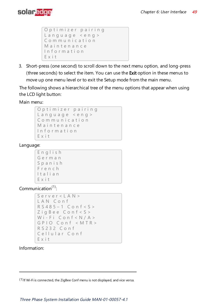

```
O p t i m i z e r p a i r i n g
Language <eng>
Communication
Maintenance
I n f o r m a t i o n
E x i t
```
3. Short-press (one second) to scroll down to the next menu option, and long-press (three seconds) to select the item. You can use the Exit option in these menus to move up one menu level or to exit the Setup mode from the main menu.

The following shows a hierarchical tree of the menu options that appear when using the LCD light button:

Main menu:

```
Optimizer pairing
L anguage \leq eng >C o m m u n i c a t i o n
M a intenance
I n f o r m a t i o n
E x i t
```
Language:

E n g l i s h G e r m a n S p a n i s h F r e n c h I t a l i a n E x i t

Communication<sup>(1)</sup>:

```
Server < LAN >
L A N C o n f
R S 4 8 5 - 1 Conf < S >
Zig Bee Conf < S >
Wi-Fi Conf < N/AGPIO Conf < MTR >
R S 2 3 2 C o n f
Cellular Conf
E x i t
```
Information:

<sup>(1)</sup>If Wi-Fi is connected, the ZigBee Conf menu is not displayed, and vice versa.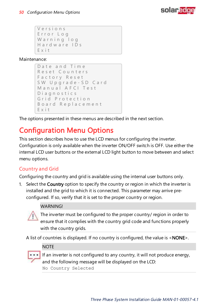

```
V e r s i o n s
E r r o r L o g
Warning log
H a r d w a r e I D s
E x i t
```
Maintenance:

```
Date and Time
Reset Counters
Factory Reset
S W U p g r a d e - S D C a r d
Manual AFCI Test
D i a g n o s t i c s
Grid Protection
B o a r d R e p l a c e m e n t
E x i t
```
<span id="page-50-1"></span>The options presented in these menus are described in the next section.

# Configuration Menu Options

This section describes how to use the LCD menus for configuring the inverter. Configuration is only available when the inverter ON/OFF switch is OFF. Use either the internal LCD user buttons or the external LCD light button to move between and select menu options.

## <span id="page-50-0"></span>Country and Grid

Configuring the country and grid is available using the internal user buttons only.

1. Select the **Country** option to specify the country or region in which the inverter is installed and the grid to which it is connected. This parameter may arrive preconfigured. If so, verify that it is set to the proper country or region.

#### **WARNING!**

The inverter must be configured to the proper country/ region in order to ensure that it complies with the country grid code and functions properly with the country grids.

A list of countries is displayed. If no country is configured, the value is <NONE>.

#### **NOTE**

If an inverter is not configured to any country, it will not produce energy, and the following message will be displayed on the LCD: No Country Selected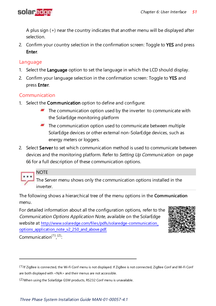

A plus sign (+) near the country indicates that another menu will be displayed after selection.

2. Confirm your country selection in the confirmation screen: Toggle to YES and press Enter.

### Language

- 1. Select the Language option to set the language in which the LCD should display.
- 2. Confirm your language selection in the confirmation screen: Toggle to YES and press Enter.

### Communication

- 1. Select the **Communication** option to define and configure:
	- $\blacksquare$  The communication option used by the inverter to communicate with the SolarEdge monitoring platform
	- $\blacksquare$  The communication option used to communicate between multiple SolarEdge devices or other external non-SolarEdge devices, such as energy meters or loggers.
- 2. Select **Server** to set which communication method is used to communicate between devices and the monitoring platform. Refer to Setting Up [Communication](#page-66-0) on [page](#page-66-0) [66](#page-66-0) for a full description of these communication options.

### **NOTE**

The Server menu shows only the communication options installed in the inverter.

The following shows a hierarchical tree of the menu options in the **Communication** menu.

For detailed information about all the configuration options, refer to the Communication Options Application Note, available on the SolarEdge website at [http://www.solaredge.com/files/pdfs/solaredge-communication\\_](http://www.solaredge.com/files/pdfs/solaredge-communication_options_application_note_v2_250_and_above.pdf) [options\\_application\\_note\\_v2\\_250\\_and\\_above.pdf.](http://www.solaredge.com/files/pdfs/solaredge-communication_options_application_note_v2_250_and_above.pdf) Communication $<sup>(1)</sup>,<sup>(2)</sup>$ :</sup>



(2)When using the SolarEdge GSM products, RS232 Conf menu is unavailable.

<sup>(1)</sup>If ZigBee is connected, the Wi-Fi Conf menu is not displayed. If ZigBee is not connected, ZigBee Conf and Wi-Fi Conf are both displayed with <N/A> and their menus are not accessible.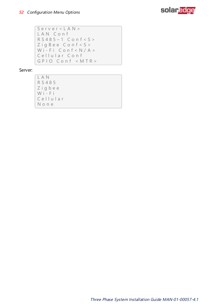

Server < LAN > L A N C o n f  $R S 4 8 5 - 1$  C o n f < S >  $Z$  i g B e e  $Conf < S >$ W i - F i  $Conf < N/A$  > Cellular Conf  $G$  P I O  $Conf \leq M$  T R >

Server:

| LAN         |
|-------------|
| RS485       |
| $Z$ igbee   |
| $W_i - F_i$ |
| Cellular    |
| None        |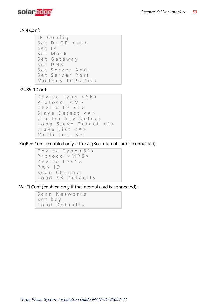

#### LAN Conf:

```
IP Config
Set DHCP \leq enS e t I P
S e t M a s k
Set Gateway
Set DNS
S e t S e r v e r A d d r
S e t S e r v e r P o r t
M o d b u s T C P < D i s >
```
#### RS485-1 Conf:

```
Device Type <SE >
P r o t o c o | < M >
Device |D| < 1Slave Detect \langle # \rangleCluster SLV Detect
Long Slave Detect <#>
Slave List <# >
Multi-Inv. Set
```
ZigBee Conf. (enabled only if the ZigBee internal card is connected):

```
D e v i c e T y p e < S E >
P r o t o c o l < M P S >
Device |D < 1>P A N I D
Scan Channel
Load ZB Defaults
```
Wi-Fi Conf (enabled only if the internal card is connected):

```
Scan Networks
S e t k e y
Load Defaults
```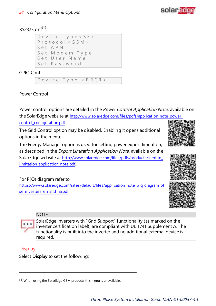

 $R$ S232  $Conf<sup>(1)</sup>$ 

Device Type < SE >  $Proofocol < GSM$ S e t A P N Set Modem Type Set User Name S e t P a s s w o r d

GPIO Conf:

Device Type <RRCR>

Power Control

Power control options are detailed in the Power Control Application Note, available on the SolarEdge website at [http://www.solaredge.com/files/pdfs/application\\_note\\_power\\_](http://www.solaredge.com/files/pdfs/application_note_power_control_configuration.pdf) [control\\_configuration.pdf](http://www.solaredge.com/files/pdfs/application_note_power_control_configuration.pdf).

The Grid Control option may be disabled. Enabling it opens additional options in the menu.

The Energy Manager option is used for setting power export limitation, as described in the Export Limitation Application Note, available on the SolarEdge website at [http://www.solaredge.com/files/pdfs/products/feed-in\\_](http://www.solaredge.com/files/pdfs/products/feed-in_limitation_application_note.pdf) [limitation\\_application\\_note.pdf](http://www.solaredge.com/files/pdfs/products/feed-in_limitation_application_note.pdf).

For P(Q) diagram refer to

[https://www.solaredge.com/sites/default/files/application\\_note\\_p\\_q\\_diagram\\_of\\_](https://www.solaredge.com/sites/default/files/application_note_p_q_diagram_of_se_inverters_en_and_na.pdf) [se\\_inverters\\_en\\_and\\_na.pdf](https://www.solaredge.com/sites/default/files/application_note_p_q_diagram_of_se_inverters_en_and_na.pdf)





### **NOTE**

SolarEdge inverters with "Grid Support" functionality (as marked on the inverter certification label), are compliant with UL 1741 Supplement A. The functionality is built into the inverter and no additional external device is required.

### **Display**

Select **Display** to set the following:

<sup>(1)</sup>When using the SolarEdge GSM products this menu is unavailable.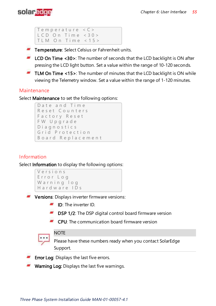

```
Temperature \langle C \rangleLCD On Time < 30 >
T | M \Omega n Time < 15 >
```
- **Temperature**: Select Celsius or Fahrenheit units.
- **LCD On Time <30>:** The number of seconds that the LCD backlight is ON after pressing the LCD light button. Set a value within the range of 10-120 seconds.
- TLM On Time <15>: The number of minutes that the LCD backlight is ON while viewing the Telemetry window. Set a value within the range of 1-120 minutes.

#### **Maintenance**

Select **Maintenance** to set the following options:

```
D a t e and Time
Reset Counters
Factory Reset
F W U p g r a d e
Diagnostics
Grid Protection
B o a r d R e p l a c e m e n t
```
### Information

Select **Information** to display the following options:

```
V e r s i o n s
E r r o r L o g
Warning log
H a r d w a r e I D s
```
- **Versions:** Displays inverter firmware versions:
	- **ID:** The inverter ID.
	- **DSP 1/2:** The DSP digital control board firmware version
	- CPU: The communication board firmware version



#### **NOTE**

Please have these numbers ready when you contact SolarEdge Support.

- **Error Log:** Displays the last five errors.
- **Warning Log:** Displays the last five warnings.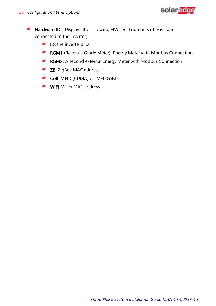

- $\blacksquare$  Hardware IDs: Displays the following HW serial numbers (if exist, and connected to the inverter):
	- **ID:** the inverter's ID
	- **RGM1** (Revenue Grade Meter): Energy Meter with Modbus Connection
	- **RGM2:** A second external Energy Meter with Modbus Connection
	- **ZB:** ZigBee MAC address
	- Cell: MEID (CDMA) or IMEI (GSM)
	- **WiFi: Wi-Fi MAC address**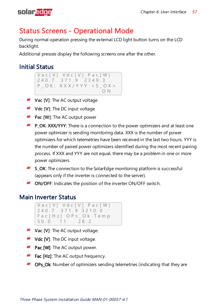

## <span id="page-57-0"></span>Status Screens - Operational Mode

During normal operation pressing the external LCD light button turns on the LCD backlight.

Additional presses display the following screens one after the other.

## Initial Status



- **Vac [V]**: The AC output voltage
- **Vdc [V]**: The DC input voltage
- **Pac [W]**: The AC output power
- **P\_OK: XXX/YYY:** There is a connection to the power optimizers and at least one power optimizer is sending monitoring data. XXX is the number of power optimizers for which telemetries have been received in the last two hours. YYY is the number of paired power optimizers identified during the most recent pairing process. If XXX and YYY are not equal, there may be a problem in one or more power optimizers.
- **S\_OK:** The connection to the SolarEdge monitoring platform is successful (appears only if the inverter is connected to the server).
- **ON/OFF**: Indicates the position of the inverter ON/OFF switch.

## Main Inverter Status

```
Vac [ V ] V d c [ V ] P a c [ W ]
2 4 0 . 7   3 7 1 . 9 3 2 1 0 . 0
Fac[Hz] OPs_Ok Temp
50.0 11 28.2
```
- **Vac [V]**: The AC output voltage.
- $\blacksquare$  Vdc [V]: The DC input voltage.
- **Pac [W]:** The AC output power.
- $\blacksquare$  Fac [Hz]: The AC output frequency.
- **OPs\_Ok:** Number of optimizers sending telemetries (indicating that they are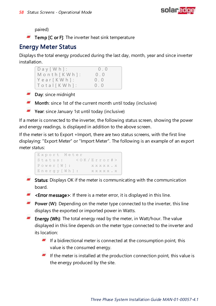

paired)

 $\blacksquare$  Temp [C or F]: The inverter heat sink temperature

## Energy Meter Status

Displays the total energy produced during the last day, month, year and since inverter installation.

```
D a y [ W h ] : 0.0<br>M o n t h [ K W h ] : 0.0
M o n t h K W h ]:Y e a r [ K W h ] : 0 . 0
Total KWh1: 0.0
```
- **Day**: since midnight
- **Month:** since 1st of the current month until today (inclusive)
- **Year**: since January 1st until today (inclusive)

If a meter is connected to the inverter, the following status screen, showing the power and energy readings, is displayed in addition to the above screen.

If the meter is set to Export +Import, there are two status screens, with the first line displaying: "Export Meter" or "Import Meter". The following is an example of an export meter status:

```
Export Meter
Status: < OK / Error # >
P o w e r [ W ] : x x x x x . x
Energy [Wh]: x x x x x . x
```
- **Status**: Displays OK if the meter is communicating with the communication board.
- $\blacktriangleright$  <**Error message**>: If there is a meter error, it is displayed in this line.
- **Power (W)**: Depending on the meter type connected to the inverter, this line displays the exported or imported power in Watts.
- Energy (Wh): The total energy read by the meter, in Watt/hour. The value displayed in this line depends on the meter type connected to the inverter and its location:
	- $\blacksquare$  If a bidirectional meter is connected at the consumption point, this value is the consumed energy.
	- If the meter is installed at the production connection point, this value is the energy produced by the site.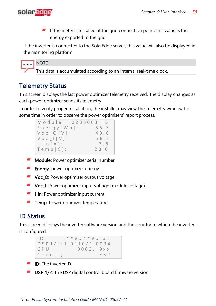

 $\blacksquare$  If the meter is installed at the grid connection point, this value is the energy exported to the grid.

If the inverter is connected to the SolarEdge server, this value will also be displayed in the monitoring platform.

```
NOTE
```
This data is accumulated according to an internal real-time clock.

## Telemetry Status

This screen displays the last power optimizer telemetry received. The display changes as each power optimizer sends its telemetry.

In order to verify proper installation, the installer may view the Telemetry window for some time in order to observe the power optimizers' report process.



- **Module**: Power optimizer serial number
- **Energy:** power optimizer energy
- Vdc O: Power optimizer output voltage
- $\blacksquare$  Vdc I: Power optimizer input voltage (module voltage)
- **I** in: Power optimizer input current
- **Temp**: Power optimizer temperature

## ID Status

This screen displays the inverter software version and the country to which the inverter is configured.

I D : # # # # # # # # # # D S P 1 / 2 : 1 . 0 2 1 0 / 1 . 0 0 3 4 C P U : 0003.19 x x<br>C o u n t r v : F S P  $Country:$ 

- ID: The inverter ID.
- DSP 1/2: The DSP digital control board firmware version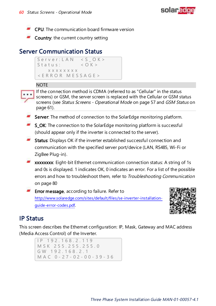

- CPU: The communication board firmware version
- **Country:** the current country setting

## Server Communication Status

```
S e r v e r : L A N < S O K >
Status: < OK        x x x x x x x x
< E R R O R M E S S A G E >
```
#### **NOTE**



If the connection method is CDMA (referred to as "Cellular" in the status screens) or GSM, the server screen is replaced with the Cellular or GSM status screens (see Status Screens - [Operational](#page-57-0) Mode on [page](#page-57-0) 57 and [GSM Status](#page-61-0) [on](#page-61-0) [page](#page-61-0) 61).

- Server: The method of connection to the SolarEdge monitoring platform.
- S\_OK: The connection to the SolarEdge monitoring platform is successful (should appear only if the inverter is connected to the server).
- **Status:** Displays OK if the inverter established successful connection and communication with the specified server port/device (LAN, RS485, Wi-Fi or ZigBee Plug-in).
- xxxxxxxx: Eight-bit Ethernet communication connection status: A string of 1s and 0s is displayed. 1 indicates OK, 0 indicates an error. For a list of the possible errors and how to troubleshoot them, refer to [Troubleshooting](#page-80-0) Communication on [page](#page-80-0) 80
- **Error message**, according to failure. Refer to [http://www.solaredge.com/sites/default/files/se-inverter-installation](http://www.solaredge.com/sites/default/files/se-inverter-installation-guide-error-codes.pdf)[guide-error-codes.pdf](http://www.solaredge.com/sites/default/files/se-inverter-installation-guide-error-codes.pdf).



### IP Status

This screen describes the Ethernet configuration: IP, Mask, Gateway and MAC address (Media Access Control) of the Inverter.

I P 1 9 2 . 1 6 8 . 2 . 1 1 9 M S K 2 5 5 . 2 5 5 . 2 5 5 . 0 G W 192.168.2.1 M A C 0 - 2 7 - 0 2 - 0 0 - 3 9 - 3 6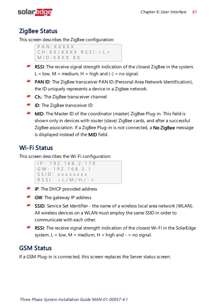

## ZigBee Status

This screen describes the ZigBee configuration:

```
P A N : X X X X X
C H : X X / X X X X R S S I : < L >
M I D : X X X X X X X
```
- **RSSI:** The receive signal strength indication of the closest ZigBee in the system.  $L = low$ ,  $M = medium$ ,  $H = high$  and  $(-) = no$  signal.
- **PAN ID:** The ZigBee transceiver PAN ID (Personal Area Network Identification), the ID uniquely represents a device in a Zigbee network.
- **Ch.:** The ZigBee transceiver channel
- **ID:** The ZigBee transceiver ID
- **MID:** The Master ID of the coordinator (master) ZigBee Plug-in. This field is shown only in devices with router (slave) ZigBee cards, and after a successful ZigBee association. If a ZigBee Plug-in is not connected, a No ZigBee message is displayed instead of the MID field.

## Wi-Fi Status

This screen describes the Wi-Fi configuration:

```
I P : 1 9 2 . 1 6 8 . 2 . 1 1 9
G W : 1 9 2 . 1 6 8 . 2 . 1
S S I D : x x x x x x x x
RSSI: < L/M/H/->
```
- **IP:** The DHCP provided address
- **GW:** The gateway IP address
- SSID: Service Set Identifier the name of a wireless local area network (WLAN). All wireless devices on a WLAN must employ the same SSID in order to communicate with each other.
- RSSI: The receive signal strength indication of the closest Wi-Fi in the SolarEdge system.  $L = low$ ,  $M = medium$ ,  $H = high$  and  $- = no$  signal.

## <span id="page-61-0"></span>GSM Status

If a GSM Plug-in is connected, this screen replaces the Server status screen: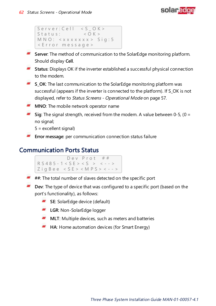

```
S e r v e r : C e | | < S _ O K >
Status: < OK>M N O: < x x x x x x x > Sig: 5
< E r r o r m e s s a g e >
```
- **Server:** The method of communication to the SolarEdge monitoring platform. Should display **Cell**.
- **Status**: Displays OK if the inverter established a successful physical connection to the modem.
- **S\_OK:** The last communication to the SolarEdge monitoring platform was successful (appears if the inverter is connected to the platform). If S\_OK is not displayed, refer to Status Screens - [Operational](#page-57-0) Mode on [page](#page-57-0) 57.
- **MNO**: The mobile network operator name
- **Sig**: The signal strength, received from the modem. A value between 0-5, (0 = no signal;
	- 5 = excellent signal)
- **Error message**: per communication connection status failure

## Communication Ports Status

```
Dev Prot #RS485 - 1 < SE > S > -1Z i g B e e < S E > < M P S > < - - >
```
- **##:** The total number of slaves detected on the specific port
- **Dev**: The type of device that was configured to a specific port (based on the port's functionality), as follows:
	- **SE:** SolarEdge device (default)
	- **LGR: Non-SolarEdge logger**
	- **MLT:** Multiple devices, such as meters and batteries
	- **HA:** Home automation devices (for Smart Energy)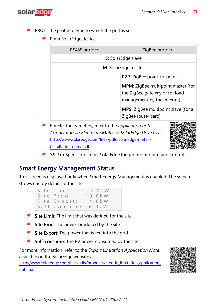

**PROT:** The protocol type to which the port is set:

For a SolarEdge device:

| RS485 protocol      | ZigBee protocol                                                                                     |  |  |  |
|---------------------|-----------------------------------------------------------------------------------------------------|--|--|--|
| S: SolarEdge slave  |                                                                                                     |  |  |  |
| M: SolarEdge master |                                                                                                     |  |  |  |
|                     | <b>P2P:</b> ZigBee point-to-point                                                                   |  |  |  |
|                     | MPM: ZigBee multipoint master (for<br>the ZigBee gateway or for load<br>management by the inverter) |  |  |  |
|                     | <b>MPS:</b> ZigBee multipoint slave (for a<br>ZigBee router card)                                   |  |  |  |

For electricity meters, refer to the application note -Connecting an Electricity Meter to SolarEdge Devices at [http://www.solaredge.com/files/pdfs/solaredge-meter](http://www.solaredge.com/files/pdfs/solaredge-meter-installation-guide.pdf)[installation-guide.pdf](http://www.solaredge.com/files/pdfs/solaredge-meter-installation-guide.pdf).



**SS**: SunSpec - for a non-SolarEdge logger (monitoring and control)

## Smart Energy Management Status

This screen is displayed only when Smart Energy Management is enabled. The screen shows energy details of the site:



- Site Limit: The limit that was defined for the site
- $\blacksquare$  Site Prod: The power produced by the site
- **Site Export:** The power that is fed into the grid
- Self-consume: The PV power consumed by the site

For more information, refer to the Export Limitation Application Note, available on the SolarEdge website at

[http://www.solaredge.com/files/pdfs/products/feed-in\\_limitation\\_application\\_](http://www.solaredge.com/files/pdfs/products/feed-in_limitation_application_note.pdf) [note.pdf](http://www.solaredge.com/files/pdfs/products/feed-in_limitation_application_note.pdf).

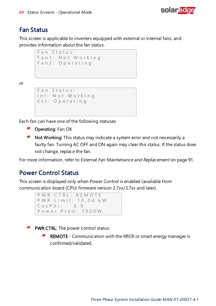

## Fan Status

This screen is applicable to inverters equipped with external or internal fans, and provides information about the fan status:

```
Fan Status:
Fan 1: Not Working
Fan 2: Operating
```
or

```
Fan Status:
Int: Not Working
Ext: Operating
```
Each fan can have one of the following statuses:

- **Operating**: Fan OK
- **Not Working:** This status may indicate a system error and not necessarily a faulty fan. Turning AC OFF and ON again may clear this status. If the status does not change, replace the fan.

For more information, refer to External Fan Maintenance and [Replacement](#page-91-0) on [page](#page-91-0) 91.

## Power Control Status

This screen is displayed only when Power Control is enabled (available from communication board (CPU) firmware version 2.7xx/3.7xx and later).

```
P W R C T R L : R E M O T E
P W R L i m i t : 10.04 k W
CosPhi : 0.9P o w e r P r o d : 7000 W
```
**PWR CTRL:** The power control status:

REMOTE - Communication with the RRCR or smart energy manager is confirmed/validated.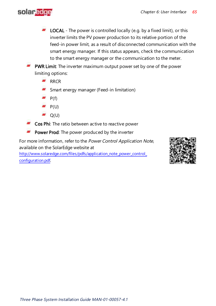

- $\blacksquare$  LOCAL The power is controlled locally (e.g. by a fixed limit), or this inverter limits the PV power production to its relative portion of the feed-in power limit, as a result of disconnected communication with the smart energy manager. If this status appears, check the communication to the smart energy manager or the communication to the meter.
- **PWR Limit:** The inverter maximum output power set by one of the power limiting options:
	- $R  
	R  
	CR$
	- **Smart energy manager (Feed-in limitation)**
	- $\blacksquare$  P(f)
	- $P(U)$
	- $\blacksquare$  Q(U)
- Cos Phi: The ratio between active to reactive power
- Power Prod: The power produced by the inverter

For more information, refer to the Power Control Application Note, available on the SolarEdge website at [http://www.solaredge.com/files/pdfs/application\\_note\\_power\\_control\\_](http://www.solaredge.com/files/pdfs/application_note_power_control_configuration.pdf) [configuration.pdf](http://www.solaredge.com/files/pdfs/application_note_power_control_configuration.pdf).

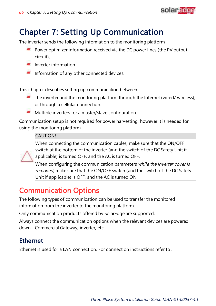

# <span id="page-66-0"></span>Chapter 7: Setting Up Communication

The inverter sends the following information to the monitoring platform:

- Power optimizer information received via the DC power lines (the PV output circuit).
- $\blacksquare$  Inverter information
- Information of any other connected devices.

This chapter describes setting up communication between:

- The inverter and the monitoring platform through the Internet (wired/ wireless), or through a cellular connection.
- Multiple inverters for a master/slave configuration.

Communication setup is not required for power harvesting, however it is needed for using the monitoring platform.

#### CAUTION!

When connecting the communication cables, make sure that the ON/OFF switch at the bottom of the inverter (and the switch of the DC Safety Unit if applicable) is turned OFF, and the AC is turned OFF.

When configuring the communication parameters while the inverter cover is removed, make sure that the ON/OFF switch (and the switch of the DC Safety Unit if applicable) is OFF, and the AC is turned ON.

# Communication Options

The following types of communication can be used to transfer the monitored information from the inverter to the monitoring platform.

Only communication products offered by SolarEdge are supported.

Always connect the communication options when the relevant devices are powered down - Commercial Gateway, inverter, etc.

## Ethernet

Ethernet is used for a LAN connection. For connection instructions refer to .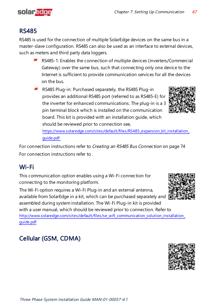## RS485

solaredge

RS485 is used for the connection of multiple SolarEdge devices on the same bus in a master-slave configuration. RS485 can also be used as an interface to external devices, such as meters and third party data loggers.

- RS485-1: Enables the connection of multiple devices (inverters/Commercial Gateway) over the same bus, such that connecting only one device to the Internet is sufficient to provide communication services for all the devices on the bus.
- RS485 Plug-in: Purchased separately, the RS485 Plug-in provides an additional RS485 port (referred to as RS485-E) for the inverter for enhanced communications. The plug-in is a 3 pin terminal block which is installed on the communication board. This kit is provided with an installation guide, which should be reviewed prior to connection see,



[https://www.solaredge.com/sites/default/files/RS485\\_expansion\\_kit\\_installation\\_](https://www.solaredge.com/sites/default/files/RS485_expansion_kit_installation_guide.pdf) [guide.pdf](https://www.solaredge.com/sites/default/files/RS485_expansion_kit_installation_guide.pdf)

For connection instructions refer to Creating an RS485 Bus [Connection](#page-74-0) on [page](#page-74-0) 74 For connection instructions refer to .

## Wi-Fi

This communication option enables using a Wi-Fi connection for connecting to the monitoring platform.

The Wi-Fi option requires a Wi-Fi Plug-in and an external antenna, available from SolarEdge in a kit, which can be purchased separately and assembled during system installation. The Wi-Fi Plug-in kit is provided



with a user manual, which should be reviewed prior to connection. Refer to [http://www.solaredge.com/sites/default/files/se\\_wifi\\_communication\\_solution\\_installation\\_](http://www.solaredge.com/sites/default/files/se_wifi_communication_solution_installation_guide.pdf) [guide.pdf](http://www.solaredge.com/sites/default/files/se_wifi_communication_solution_installation_guide.pdf)

# Cellular (GSM, CDMA)

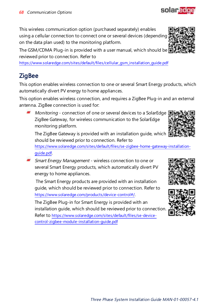-Three Phase System Installation Guide MAN-01-00057-4.1

This wireless communication option (purchased separately) enables using a cellular connection to connect one or several devices (depending on the data plan used) to the monitoring platform.

The GSM/CDMA Plug-in is provided with a user manual, which should be reviewed prior to connection. Refer to

[https://www.solaredge.com/sites/default/files/cellular\\_gsm\\_installation\\_guide.pdf](https://www.solaredge.com/sites/default/files/cellular_gsm_installation_guide.pdf)

# **ZigBee**

This option enables wireless connection to one or several Smart Energy products, which automatically divert PV energy to home appliances.

This option enables wireless connection, and requires a ZigBee Plug-in and an external antenna. ZigBee connection is used for:

Monitoring - connection of one or several devices to a SolarEdge ZigBee Gateway, for wireless communication to the SolarEdge monitoring platform.

The ZigBee Gateway is provided with an installation guide, which should be reviewed prior to connection. Refer to

[https://www.solaredge.com/sites/default/files/se-zigbee-home-gateway-installation](https://www.solaredge.com/sites/default/files/se-zigbee-home-gateway-installation-guide.pdf)[guide.pdf](https://www.solaredge.com/sites/default/files/se-zigbee-home-gateway-installation-guide.pdf).

**S** Smart Energy Management - wireless connection to one or several Smart Energy products, which automatically divert PV energy to home appliances.

The Smart Energy products are provided with an installation guide, which should be reviewed prior to connection. Refer to <https://www.solaredge.com/products/device-control#/>.

The ZigBee Plug-in for Smart Energy is provided with an installation guide, which should be reviewed prior to connection. Refer to [https://www.solaredge.com/sites/default/files/se-device](http://www.solaredge.com/sites/default/files/se-zigbee-kit-wireless-communication-datasheet-na.pdf)[control-zigbee-module-installation-guide.pdf](http://www.solaredge.com/sites/default/files/se-zigbee-kit-wireless-communication-datasheet-na.pdf)









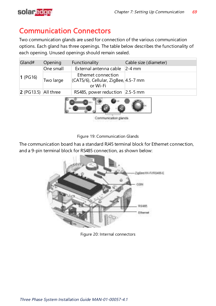

## Communication Connectors

Two communication glands are used for connection of the various communication options. Each gland has three openings. The table below describes the functionality of each opening. Unused openings should remain sealed.

| Gland#                 | Opening   | Functionality                                                           | Cable size (diameter) |  |  |
|------------------------|-----------|-------------------------------------------------------------------------|-----------------------|--|--|
|                        | One small | External antenna cable 2-4 mm                                           |                       |  |  |
| 1 (PG16)               | Two large | Ethernet connection<br>(CAT5/6), Cellular, ZigBee, 4.5-7 mm<br>or Wi-Fi |                       |  |  |
| $2$ (PG13.5) All three |           | RS485, power reduction 2.5-5 mm                                         |                       |  |  |
|                        |           |                                                                         |                       |  |  |

Communication glands

Figure 19: Communication Glands

The communication board has a standard RJ45 terminal block for Ethernet connection, and a 9-pin terminal block for RS485 connection, as shown below:



Figure 20: Internal connectors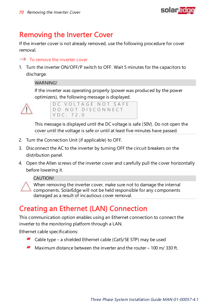

# Removing the Inverter Cover

If the inverter cover is not already removed, use the following procedure for cover removal.

### $\rightarrow$  To remove the inverter cover

1. Turn the inverter ON/OFF/P switch to OFF. Wait 5 minutes for the capacitors to discharge.

**WARNING!** 

If the inverter was operating properly (power was produced by the power optimizers), the following message is displayed.



|           | IDC VOLTAGE NOT SAFE |  |
|-----------|----------------------|--|
|           | I DO NOT DISCONNECT  |  |
| VDC: 72.0 |                      |  |

This message is displayed until the DC voltage is safe (50V). Do not open the cover until the voltage is safe or until at least five minutes have passed.

- 2. Turn the Connection Unit (if applicable) to OFF.
- 3. Disconnect the AC to the inverter by turning OFF the circuit breakers on the distribution panel.
- 4. Open the Allen screws of the inverter cover and carefully pull the cover horizontally before lowering it.

CAUTION!



When removing the inverter cover, make sure not to damage the internal components. SolarEdge will not be held responsible for any components damaged as a result of incautious cover removal.

# Creating an Ethernet (LAN) Connection

This communication option enables using an Ethernet connection to connect the inverter to the monitoring platform through a LAN.

Ethernet cable specifications:

- Cable type a shielded Ethernet cable (Cat5/5E STP) may be used
- Maximum distance between the inverter and the router 100 m/ 330 ft.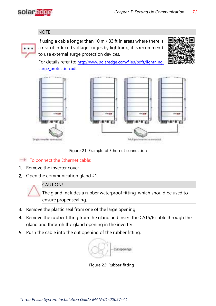

**NOTE** 



If using a cable longer than 10 m / 33 ft in areas where there is a risk of induced voltage surges by lightning, it is recommend to use external surge protection devices.



For details refer to: [http://www.solaredge.com/files/pdfs/lightning\\_](http://www.solaredge.com/files/pdfs/lightning_surge_protection.pdf) [surge\\_protection.pdf](http://www.solaredge.com/files/pdfs/lightning_surge_protection.pdf).



Figure 21: Example of Ethernet connection

### $\rightarrow$  To connect the Ethernet cable:

- 1. Remove the inverter cover .
- 2. Open the communication gland #1.



#### CAUTION!

The gland includes a rubber waterproof fitting, which should be used to ensure proper sealing.

- 3. Remove the plastic seal from one of the large opening .
- 4. Remove the rubber fitting from the gland and insert the CAT5/6 cable through the gland and through the gland opening in the inverter .
- 5. Push the cable into the cut opening of the rubber fitting.

Cut openings

Figure 22: Rubber fitting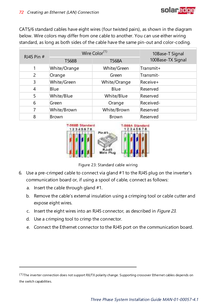

CAT5/6 standard cables have eight wires (four twisted pairs), as shown in the diagram below. Wire colors may differ from one cable to another. You can use either wiring standard, as long as both sides of the cable have the same pin-out and color-coding.

| RJ45 Pin $#$ | Wire Color <sup>(1)</sup> | 10Base-T Signal |                   |
|--------------|---------------------------|-----------------|-------------------|
|              | T568B                     | T568A           | 100Base-TX Signal |
| 1            | White/Orange              | White/Green     | Transmit+         |
| 2            | Orange                    | Green           | Transmit-         |
| 3            | White/Green               | White/Orange    | Receive+          |
| 4            | Blue                      | Blue            | Reserved          |
| 5            | White/Blue                | White/Blue      | Reserved          |
| 6            | Green                     | Orange          | Received-         |
| 7            | White/Brown               | White/Brown     | Reserved          |
| 8            | Brown                     | <b>Brown</b>    | Reserved          |



Figure 23: Standard cable wiring

- <span id="page-72-0"></span>6. Use a pre-crimped cable to connect via gland #1 to the RJ45 plug on the inverter's communication board or, if using a spool of cable, connect as follows:
	- a. Insert the cable through gland #1.
	- b. Remove the cable's external insulation using a crimping tool or cable cutter and expose eight wires.
	- c. Insert the eight wires into an RJ45 connector, as described in [Figure](#page-72-0) 23.
	- d. Use a crimping tool to crimp the connector.
	- e. Connect the Ethernet connector to the RJ45 port on the communication board.

<sup>(1)</sup>The inverter connection does not support RX/TX polarity change. Supporting crossover Ethernet cables depends on the switch capabilities.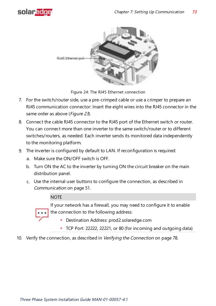



Figure 24: The RJ45 Ethernet connection

- 7. For the switch/router side, use a pre-crimped cable or use a crimper to prepare an RJ45 communication connector: Insert the eight wires into the RJ45 connector in the same order as above ([Figure](#page-72-0) 23).
- 8. Connect the cable RJ45 connector to the RJ45 port of the Ethernet switch or router. You can connect more than one inverter to the same switch/router or to different switches/routers, as needed. Each inverter sends its monitored data independently to the monitoring platform.
- 9. The inverter is configured by default to LAN. If reconfiguration is required:
	- a. Make sure the ON/OFF switch is OFF.
	- b. Turn ON the AC to the inverter by turning ON the circuit breaker on the main distribution panel.
	- c. Use the internal user buttons to configure the connection, as described in [Communication](#page-51-0) on [page](#page-51-0) 51.

### **NOTE**



- If your network has a firewall, you may need to configure it to enable
- the connection to the following address:
	- Destination Address: prod2.solaredge.com
	- TCP Port: 22222, 22221, or 80 (for incoming and outgoing data)
- 10. Verify the connection, as described in *[Verifying](#page-78-0) the Connection* on [page](#page-78-0) 78.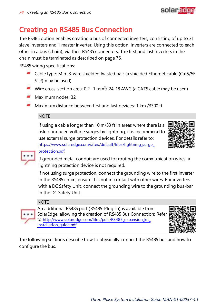

The RS485 option enables creating a bus of connected inverters, consisting of up to 31 slave inverters and 1 master inverter. Using this option, inverters are connected to each other in a bus (chain), via their RS485 connectors. The first and last inverters in the chain must be terminated as described on page [76.](#page-76-0)

RS485 wiring specifications:

- Cable type: Min. 3-wire shielded twisted pair (a shielded Ethernet cable (Cat5/5E STP) may be used)
- Wire cross-section area: 0.2- 1 mm<sup>2</sup>/ 24-18 AWG (a CAT5 cable may be used)
- Maximum nodes: 32
- Maximum distance between first and last devices: 1 km /3300 ft.

### **NOTE**

If using a cable longer than 10 m/33 ft in areas where there is a risk of induced voltage surges by lightning, it is recommend to use external surge protection devices. For details refer to: [https://www.solaredge.com/sites/default/files/lightning\\_surge\\_](https://www.solaredge.com/sites/default/files/lightning_surge_protection.pdf) [protection.pdf](https://www.solaredge.com/sites/default/files/lightning_surge_protection.pdf).



If grounded metal conduit are used for routing the communication wires, a lightning protection device is not required.

If not using surge protection, connect the grounding wire to the first inverter in the RS485 chain; ensure it is not in contact with other wires. For inverters with a DC Safety Unit, connect the grounding wire to the grounding bus-bar in the DC Safety Unit.

### **NOTE**

An additional RS485 port (RS485-Plug-in) is available from SolarEdge, allowing the creation of RS485 Bus Connection; Refer to [http://www.solaredge.com/files/pdfs/RS485\\_expansion\\_kit\\_](http://www.solaredge.com/files/pdfs/RS485_expansion_kit_installation_guide.pdf) installation\_quide.pdf



The following sections describe how to physically connect the RS485 bus and how to configure the bus.

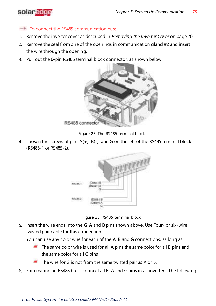

### $\blacksquare$  To connect the RS485 communication bus:

- 1. Remove the inverter cover as described in [Removing](#page-70-0) the Inverter Cover on [page](#page-70-0) 70.
- 2. Remove the seal from one of the openings in communication gland #2 and insert the wire through the opening.
- 3. Pull out the 6-pin RS485 terminal block connector, as shown below:



Figure 25: The RS485 terminal block

4. Loosen the screws of pins A(+), B(-), and G on the left of the RS485 terminal block (RS485-1 or RS485-2).



Figure 26: RS485 terminal block

5. Insert the wire ends into the G, A and B pins shown above. Use Four- or six-wire twisted pair cable for this connection.

You can use any color wire for each of the A, B and G connections, as long as:

- $\blacksquare$  The same color wire is used for all A pins the same color for all B pins and the same color for all G pins
- $\blacksquare$  The wire for G is not from the same twisted pair as A or B.
- 6. For creating an RS485 bus connect all B, A and G pins in all inverters. The following

Three Phase System Installation Guide MAN-01-00057-4.1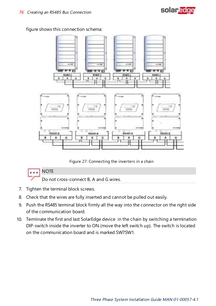### solaredge



figure shows this connection schema:

Figure 27: Connecting the inverters in a chain

|  | <b>NOTE</b>                            |
|--|----------------------------------------|
|  | Do not cross-connect B, A and G wires. |

- 7. Tighten the terminal block screws.
- <span id="page-76-0"></span>8. Check that the wires are fully inserted and cannot be pulled out easily.
- 9. Push the RS485 terminal block firmly all the way into the connector on the right side of the communication board.
- 10. Terminate the first and last SolarEdge device in the chain by switching a termination DIP-switch inside the inverter to ON (move the left switch up). The switch is located on the communication board and is marked SW7SW1.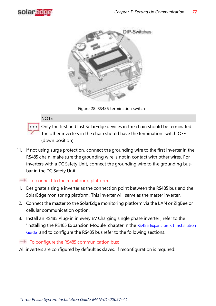



Figure 28: RS485 termination switch

### **NOTE**



11. If not using surge protection, connect the grounding wire to the first inverter in the RS485 chain; make sure the grounding wire is not in contact with other wires. For inverters with a DC Safety Unit, connect the grounding wire to the grounding busbar in the DC Safety Unit.

### $\blacksquare$  To connect to the monitoring platform:

- 1. Designate a single inverter as the connection point between the RS485 bus and the SolarEdge monitoring platform. This inverter will serve as the master inverter.
- 2. Connect the master to the SolarEdge monitoring platform via the LAN or ZigBee or cellular communication option.
- 3. Install an RS485 Plug-in in every EV Charging single phase inverter , refer to the 'Installing the RS485 Expansion Module' chapter in the RS485 Expansion Kit [Installation](http://www.solaredge.com/files/pdfs/RS485_expansion_kit_installation_guide.pdf) [Guide](http://www.solaredge.com/files/pdfs/RS485_expansion_kit_installation_guide.pdf) and to configure the RS485 bus refer to the following sections.

### $\blacksquare$  To configure the RS485 communication bus:

All inverters are configured by default as slaves. If reconfiguration is required: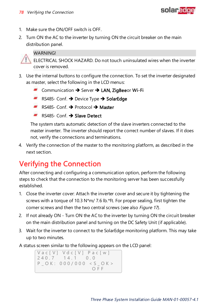

- 1. Make sure the ON/OFF switch is OFF.
- 2. Turn ON the AC to the inverter by turning ON the circuit breaker on the main distribution panel.

#### WARNING!

ELECTRICAL SHOCK HAZARD. Do not touch uninsulated wires when the inverter cover is removed.

- 3. Use the internal buttons to configure the connection. To set the inverter designated as master, select the following in the LCD menus:
	- Communication → Server → LAN, ZigBeeor Wi-Fi
	- RS485- Conf.  $\rightarrow$  Device Type  $\rightarrow$  SolarEdge
	- RS485- Conf.  $\rightarrow$  Protocol  $\rightarrow$  Master
	- RS485- Conf.  $\rightarrow$  Slave Detect

The system starts automatic detection of the slave inverters connected to the master inverter. The inverter should report the correct number of slaves. If it does not, verify the connections and terminations.

4. Verify the connection of the master to the monitoring platform, as described in the next section.

## <span id="page-78-0"></span>Verifying the Connection

After connecting and configuring a communication option, perform the following steps to check that the connection to the monitoring server has been successfully established.

- 1. Close the inverter cover: Attach the inverter cover and secure it by tightening the screws with a torque of 10.3 N\*m/ 7.6 lb.\*ft. For proper sealing, first tighten the corner screws and then the two central screws (see also [Figure](#page-37-0) 17).
- 2. If not already ON Turn ON the AC to the inverter by turning ON the circuit breaker on the main distribution panel and turning on the DC Safety Unit (if applicable).
- 3. Wait for the inverter to connect to the SolarEdge monitoring platform. This may take up to two minutes.
- A status screen similar to the following appears on the LCD panel:

Vac [ V ] V d c [ V ] P a c [ w ] 2 4 0 . 7 1 4 . 1 0 . 0  $P_0$   $K: 000/000 < S_0$   $K > 0$ - - - - - - - - - - - - - - - O F F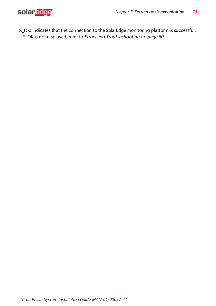

S\_OK: Indicates that the connection to the SolarEdge monitoring platform is successful. If S\_OK is not displayed, refer to Errors and [Troubleshooting](#page-80-0) on [page](#page-80-0) 80.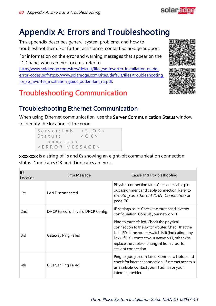

# <span id="page-80-0"></span>Appendix A: Errors and Troubleshooting

This appendix describes general system problems, and how to troubleshoot them. For further assistance, contact SolarEdge Support.

For information on the error and warning messages that appear on the LCD panel when an error occurs, refer to

[http://www.solaredge.com/sites/default/files/se-inverter-installation-guide](http://www.solaredge.com/sites/default/files/se-inverter-installation-guide-error-codes.pdf)[error-codes.pdf](http://www.solaredge.com/sites/default/files/se-inverter-installation-guide-error-codes.pdf)[https://www.solaredge.com/sites/default/files/troubleshooting\\_](https://www.solaredge.com/sites/default/files/troubleshooting_for_se_inverter_insallation_guide_addendum_na.pdf) for se inverter insallation quide addendum na.pdf.

# Troubleshooting Communication



## Troubleshooting Ethernet Communication

When using Ethernet communication, use the Server Communication Status window to identify the location of the error:

#### S e r v e r : L A N < S \_ O K ><br>S t a t u s : < O K >  $Status:$  x x x x x x x x < E R R O R M E S S A G E >

xxxxxxxx is a string of 1s and 0s showing an eight-bit communication connection status. 1 indicates OK and 0 indicates an error.

| <b>Bit</b><br>Location | Error Message                       | Cause and Troubleshooting                                                                                                                                                                                                                                                          |
|------------------------|-------------------------------------|------------------------------------------------------------------------------------------------------------------------------------------------------------------------------------------------------------------------------------------------------------------------------------|
| 1st                    | <b>LAN Disconnected</b>             | Physical connection fault. Check the cable pin-<br>out assignment and cable connection. Refer to<br>Creating an Ethernet (LAN) Connection on<br>page 70                                                                                                                            |
| 2 <sub>nd</sub>        | DHCP Failed, or Invalid DHCP Config | IP settings issue. Check the router and inverter<br>configuration. Consult your network IT.                                                                                                                                                                                        |
| 3rd                    | Gateway Ping Failed                 | Ping to router failed. Check the physical<br>connection to the switch/router. Check that the<br>link LED at the router/switch is lit (indicating phy-<br>link). If OK - contact your network IT, otherwise<br>replace the cable or change it from cross to<br>straight connection. |
| 4th                    | G Server Ping Failed                | Ping to google.com failed. Connect a laptop and<br>check for internet connection. If internet access is<br>unavailable, contact your IT admin or your<br>internet provider.                                                                                                        |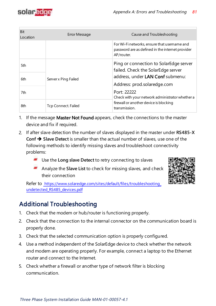

| <b>Bit</b><br>Location | Error Message        | Cause and Troubleshooting                                                                                      |  |  |
|------------------------|----------------------|----------------------------------------------------------------------------------------------------------------|--|--|
|                        |                      | For Wi-Fi networks, ensure that username and<br>password are as defined in the internet provider<br>AP/router. |  |  |
| 5th                    |                      | Ping or connection to SolarEdge server<br>failed. Check the SolarEdge server                                   |  |  |
| 6th                    | Server x Ping Failed | address, under LAN Conf submenu:                                                                               |  |  |
|                        |                      | Address: prod.solaredge.com                                                                                    |  |  |
| 7th                    |                      | Port: 22222<br>Check with your network administrator whether a                                                 |  |  |
| 8th                    | Tcp Connect. Failed  | firewall or another device is blocking<br>transmission.                                                        |  |  |

- 1. If the message Master Not Found appears, check the connections to the master device and fix if required.
- 2. If after slave detection the number of slaves displayed in the master under **RS485-X Conf → Slave Detect** is smaller than the actual number of slaves, use one of the following methods to identify missing slaves and troubleshoot connectivity problems:
	- Use the **Long slave Detect** to retry connecting to slaves
	- Analyze the **Slave List** to check for missing slaves, and check their connection



Refer to [https://www.solaredge.com/sites/default/files/troubleshooting\\_](https://www.solaredge.com/sites/default/files/troubleshooting_undetected_RS485_devices.pdf) [undetected\\_RS485\\_devices.pdf](https://www.solaredge.com/sites/default/files/troubleshooting_undetected_RS485_devices.pdf)

### Additional Troubleshooting

- 1. Check that the modem or hub/router is functioning properly.
- 2. Check that the connection to the internal connector on the communication board is properly done.
- 3. Check that the selected communication option is properly configured.
- 4. Use a method independent of the SolarEdge device to check whether the network and modem are operating properly. For example, connect a laptop to the Ethernet router and connect to the Internet.
- 5. Check whether a firewall or another type of network filter is blocking communication.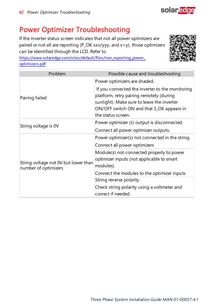

## Power Optimizer Troubleshooting

If the inverter status screen indicates that not all power optimizers are paired or not all are reporting (P\_OK xxx/yyy, and x<y), those optimizers can be identified through the LCD. Refer to

[https://www.solaredge.com/sites/default/files/non\\_reporting\\_power\\_](https://www.solaredge.com/sites/default/files/non_reporting_power_optimizers.pdf) [optimizers.pdf](https://www.solaredge.com/sites/default/files/non_reporting_power_optimizers.pdf)



| Problem                                                      | Possible cause and troubleshooting                                                                                                                                                                           |
|--------------------------------------------------------------|--------------------------------------------------------------------------------------------------------------------------------------------------------------------------------------------------------------|
|                                                              | Power optimizers are shaded.                                                                                                                                                                                 |
| Pairing failed                                               | If you connected the inverter to the monitoring<br>platform, retry pairing remotely (during<br>sunlight). Make sure to leave the inverter<br>ON/OFF switch ON and that S OK appears in<br>the status screen. |
|                                                              | Power optimizer (s) output is disconnected.                                                                                                                                                                  |
| String voltage is OV                                         | Connect all power optimizer outputs.                                                                                                                                                                         |
|                                                              | Power optimizer(s) not connected in the string.                                                                                                                                                              |
|                                                              | Connect all power optimizers                                                                                                                                                                                 |
| String voltage not 0V but lower than<br>number of optimizers | Module(s) not connected properly to power<br>optimizer inputs (not applicable to smart<br>modules).                                                                                                          |
|                                                              | Connect the modules to the optimizer inputs                                                                                                                                                                  |
|                                                              | String reverse polarity.                                                                                                                                                                                     |
|                                                              | Check string polarity using a voltmeter and<br>correct if needed.                                                                                                                                            |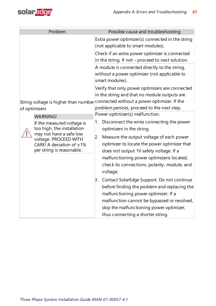

| Problem                                                                                                                                                                     | Possible cause and troubleshooting                                                                                                                                                                                                                                                                                                 |
|-----------------------------------------------------------------------------------------------------------------------------------------------------------------------------|------------------------------------------------------------------------------------------------------------------------------------------------------------------------------------------------------------------------------------------------------------------------------------------------------------------------------------|
|                                                                                                                                                                             | Extra power optimizer(s) connected in the string<br>(not applicable to smart modules).                                                                                                                                                                                                                                             |
|                                                                                                                                                                             | Check if an extra power optimizer is connected<br>in the string. If not - proceed to next solution.                                                                                                                                                                                                                                |
|                                                                                                                                                                             | A module is connected directly to the string,<br>without a power optimizer (not applicable to<br>smart modules).                                                                                                                                                                                                                   |
| of optimizers                                                                                                                                                               | Verify that only power optimizers are connected<br>in the string and that no module outputs are<br>String voltage is higher than number connected without a power optimizer. If the<br>problem persists, proceed to the next step.                                                                                                 |
| <b>WARNING!</b>                                                                                                                                                             | Power optimizer(s) malfunction.                                                                                                                                                                                                                                                                                                    |
| If the measured voltage is<br>too high, the installation<br>may not have a safe low<br>voltage. PROCEED WITH<br>CARE! A deviation of $\pm 1\%$<br>per string is reasonable. | Disconnect the wires connecting the power<br>1.<br>optimizers in the string.<br>Measure the output voltage of each power<br>2.<br>optimizer to locate the power optimizer that<br>does not output 1V safety voltage. If a<br>malfunctioning power optimizeris located,<br>check its connections, polarity, module, and<br>voltage. |
|                                                                                                                                                                             | 3. Contact SolarEdge Support. Do not continue<br>before finding the problem and replacing the<br>malfunctioning power optimizer. If a<br>malfunction cannot be bypassed or resolved,<br>skip the malfunctioning power optimizer,<br>thus connecting a shorter string.                                                              |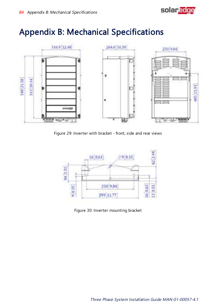



# Appendix B: Mechanical Specifications



Figure 29: Inverter with bracket - front, side and rear views



Figure 30: Inverter mounting bracket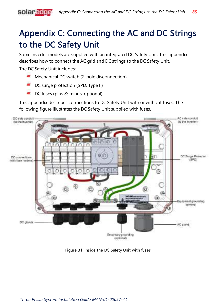

# Appendix C: Connecting the AC and DC Strings to the DC Safety Unit

Some inverter models are supplied with an integrated DC Safety Unit. This appendix describes how to connect the AC grid and DC strings to the DC Safety Unit.

The DC Safety Unit includes:

- a a Mechanical DC switch (2-pole disconnection)
- a, DC surge protection (SPD, Type II)
- a, DC fuses (plus & minus; optional)

This appendix describes connections to DC Safety Unit with or without fuses. The following figure illustrates the DC Safety Unit supplied with fuses.

<span id="page-85-0"></span>

Figure 31: Inside the DC Safety Unit with fuses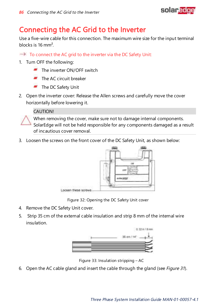

# Connecting the AC Grid to the Inverter

Use a five-wire cable for this connection. The maximum wire size for the input terminal blocks is 16 mm².

 $\Box$  To connect the AC grid to the inverter via the DC Safety Unit:

- 1. Turn OFF the following:
	- The inverter ON/OFF switch
	- The AC circuit breaker
	- The DC Safety Unit
- 2. Open the inverter cover: Release the Allen screws and carefully move the cover horizontally before lowering it.

CAUTION!



When removing the cover, make sure not to damage internal components. SolarEdge will not be held responsible for any components damaged as a result of incautious cover removal.

3. Loosen the screws on the front cover of the DC Safety Unit, as shown below:



Figure 32: Opening the DC Safety Unit cover

- 4. Remove the DC Safety Unit cover.
- 5. Strip 35 cm of the external cable insulation and strip 8 mm of the internal wire insulation.



Figure 33: Insulation stripping – AC

6. Open the AC cable gland and insert the cable through the gland (see [Figure](#page-85-0) 31).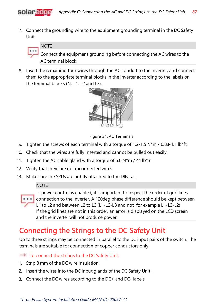

7. Connect the grounding wire to the equipment grounding terminal in the DC Safety Unit.



Connect the equipment grounding before connecting the AC wires to the AC terminal block.

8. Insert the remaining four wires through the AC conduit to the inverter, and connect them to the appropriate terminal blocks in the inverter according to the labels on the terminal blocks (N, L1, L2 and L3).



Figure 34: AC Terminals

- 9. Tighten the screws of each terminal with a torque of 1.2-1.5  $N<sup>*</sup>m / 0.88$ -1.1 lb<sup>\*</sup>ft.
- 10. Check that the wires are fully inserted and cannot be pulled out easily.
- 11. Tighten the AC cable gland with a torque of  $5.0 N<sup>*</sup>m / 44 lb<sup>*</sup>in.$
- 12. Verify that there are no unconnected wires.
- 13. Make sure the SPDs are tightly attached to the DIN rail.

### **NOTE**



If power control is enabled, it is important to respect the order of grid lines connection to the inverter. A 120deg phase difference should be kept between L1 to L2 and between L2 to L3 (L1-L2-L3 and not, for example L1-L3-L2). If the grid lines are not in this order, an error is displayed on the LCD screen and the inverter will not produce power.

# Connecting the Strings to the DC Safety Unit

Up to three strings may be connected in parallel to the DC input pairs of the switch. The terminals are suitable for connection of copper conductors only.

 $\blacksquare$  To connect the strings to the DC Safety Unit:

- 1. Strip 8 mm of the DC wire insulation.
- 2. Insert the wires into the DC input glands of the DC Safety Unit .
- 3. Connect the DC wires according to the DC+ and DC- labels:

Three Phase System Installation Guide MAN-01-00057-4.1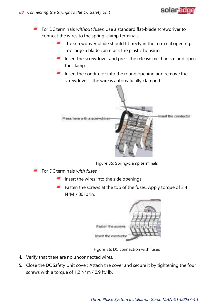

- For DC terminals *without fuses*: Use a standard flat-blade screwdriver to connect the wires to the spring-clamp terminals.
	- $\blacksquare$  The screwdriver blade should fit freely in the terminal opening. Too large a blade can crack the plastic housing.
	- $\blacksquare$  Insert the screwdriver and press the release mechanism and open the clamp.
	- $\blacksquare$  Insert the conductor into the round opening and remove the screwdriver – the wire is automatically clamped.



Figure 35: Spring-clamp terminals

 $\blacksquare$  For DC terminals with fuses:

- $\blacksquare$  Insert the wires into the side openings.
- Fasten the screws at the top of the fuses. Apply torque of 3.4 N\*M / 30 lb\*in.



Figure 36: DC connection with fuses

- 4. Verify that there are no unconnected wires.
- 5. Close the DC Safety Unit cover: Attach the cover and secure it by tightening the four screws with a torque of 1.2 N\*m / 0.9 ft.\*lb.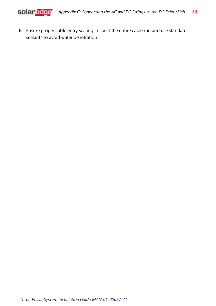

6. Ensure proper cable entry sealing: inspect the entire cable run and use standard sealants to avoid water penetration.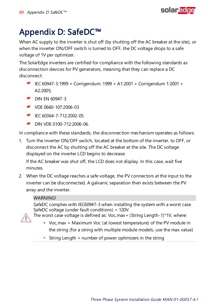

# Appendix D: SafeDC™

When AC supply to the inverter is shut off (by shutting off the AC breaker at the site), or when the inverter ON/OFF switch is turned to OFF, the DC voltage drops to a safe voltage of 1V per optimizer.

The SolarEdge inverters are certified for compliance with the following standards as disconnection devices for PV generators, meaning that they can replace a DC disconnect:

- IEC 60947-3:1999 + Corrigendum: 1999 + A1:2001 + Corrigendum 1:2001 + A2:2005;
- DIN FN 60947-3
- VDE 0660-107:2006-03
- IEC 60364-7-712:2002-05
- a an DIN VDE 0100-712:2006-06.

In compliance with these standards, the disconnection mechanism operates as follows:

1. Turn the inverter ON/OFF switch, located at the bottom of the inverter, to OFF, or disconnect the AC by shutting off the AC breaker at the site. The DC voltage displayed on the inverter LCD begins to decrease.

If the AC breaker was shut off, the LCD does not display. In this case, wait five minutes.

2. When the DC voltage reaches a safe voltage, the PV connectors at the input to the inverter can be disconnected. A galvanic separation then exists between the PV array and the inverter.

### WARNING!

SafeDC complies with IEC60947-3 when installing the system with a worst case SafeDC voltage (under fault conditions) < 120V.



The worst case voltage is defined as: Voc,max+ (String Length-1)\*1V, where:

- Voc,max = Maximum Voc (at lowest temperature) of the PV module in the string (for a string with multiple module models, use the max value)
- **String Length = number of power optimizers in the string**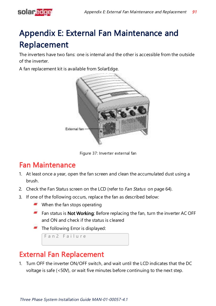

# Appendix E: External Fan Maintenance and Replacement

The inverters have two fans: one is internal and the other is accessible from the outside of the inverter.

A fan replacement kit is available from SolarEdge.



Figure 37: Inverter external fan

# Fan Maintenance

- 1. At least once a year, open the fan screen and clean the accumulated dust using a brush.
- 2. Check the Fan [Status](#page-64-0) screen on the LCD (refer to Fan Status on [page](#page-64-0) 64).
- 3. If one of the following occurs, replace the fan as described below:
	- When the fan stops operating
	- $\blacksquare$  Fan status is **Not Working**; Before replacing the fan, turn the inverter AC OFF and ON and check if the status is cleared
	- $\blacksquare$  The following Error is displayed:

```
F a n 2 F a i l u r e
```
## External Fan Replacement

1. Turn OFF the inverter ON/OFF switch, and wait until the LCD indicates that the DC voltage is safe (<50V), or wait five minutes before continuing to the next step.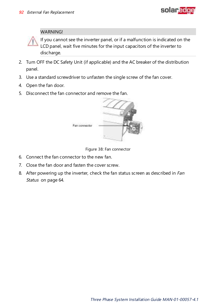

### WARNING!

If you cannot see the inverter panel, or if a malfunction is indicated on the LCD panel, wait five minutes for the input capacitors of the inverter to discharge.

- 2. Turn OFF the DC Safety Unit (if applicable) and the AC breaker of the distribution panel.
- 3. Use a standard screwdriver to unfasten the single screw of the fan cover.
- 4. Open the fan door.
- 5. Disconnect the fan connector and remove the fan.



#### Figure 38: Fan connector

- 6. Connect the fan connector to the new fan.
- 7. Close the fan door and fasten the cover screw.
- 8. After powering up the inverter, check the fan status screen as described in [Fan](#page-64-0) [Status](#page-64-0) on [page](#page-64-0) 64.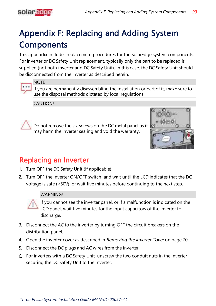# Appendix F: Replacing and Adding System **Components**

This appendix includes replacement procedures for the SolarEdge system components. For inverter or DC Safety Unit replacement, typically only the part to be replaced is supplied (not both inverter and DC Safety Unit). In this case, the DC Safety Unit should be disconnected from the inverter as described herein.



### **NOTE**

If you are permanently disassembling the installation or part of it, make sure to use the disposal methods dictated by local regulations.

CAUTION!



Do not remove the six screws on the DC metal panel as it may harm the inverter sealing and void the warranty.



# Replacing an Inverter

- 1. Turn OFF the DC Safety Unit (if applicable).
- 2. Turn OFF the inverter ON/OFF switch, and wait until the LCD indicates that the DC voltage is safe (<50V), or wait five minutes before continuing to the next step.

### **WARNING!**

If you cannot see the inverter panel, or if a malfunction is indicated on the LCD panel, wait five minutes for the input capacitors of the inverter to discharge.

- 3. Disconnect the AC to the inverter by turning OFF the circuit breakers on the distribution panel.
- 4. Open the inverter cover as described in [Removing](#page-70-0) the Inverter Cover on [page](#page-70-0) 70.
- 5. Disconnect the DC plugs and AC wires from the inverter.
- 6. For inverters with a DC Safety Unit, unscrew the two conduit nuts in the inverter securing the DC Safety Unit to the inverter.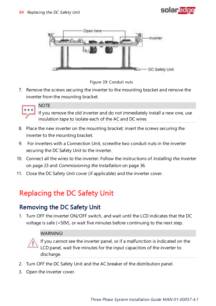





7. Remove the screws securing the inverter to the mounting bracket and remove the inverter from the mounting bracket.



### **NOTE**

If you remove the old inverter and do not immediately install a new one, use insulation tape to isolate each of the AC and DC wires

- 8. Place the new inverter on the mounting bracket; insert the screws securing the inverter to the mounting bracket.
- 9. For inverters with a Connection Unit, screwthe two conduit nuts in the inverter securing the DC Safety Unit to the inverter.
- 10. Connect all the wi[r](#page-23-0)es to the inverter: Follow the instructions of *[Installing](#page-23-0) the Inverter* on [page](#page-23-0) 23 and [Commissioning](#page-36-0) the Installation on [page](#page-36-0) 36.
- 11. Close the DC Safety Unit cover (if applicable) and the inverter cover.

# Replacing the DC Safety Unit

### Removing the DC Safety Unit

1. Turn OFF the inverter ON/OFF switch, and wait until the LCD indicates that the DC voltage is safe (<50V), or wait five minutes before continuing to the next step.

#### WARNING!

If you cannot see the inverter panel, or if a malfunction is indicated on the LCD panel, wait five minutes for the input capacitors of the inverter to discharge.

- 2. Turn OFF the DC Safety Unit and the AC breaker of the distribution panel.
- 3. Open the inverter cover.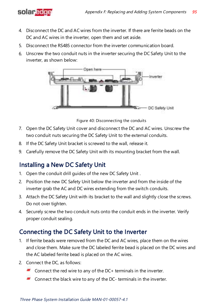

- 4. Disconnect the DC and AC wires from the inverter. If there are ferrite beads on the DC and AC wires in the inverter, open them and set aside.
- 5. Disconnect the RS485 connector from the inverter communication board.
- 6. Unscrew the two conduit nuts in the inverter securing the DC Safety Unit to the inverter, as shown below:



Figure 40: Disconnecting the conduits

- 7. Open the DC Safety Unit cover and disconnect the DC and AC wires. Unscrew the two conduit nuts securing the DC Safety Unit to the external conduits.
- 8. If the DC Safety Unit bracket is screwed to the wall, release it.
- 9. Carefully remove the DC Safety Unit with its mounting bracket from the wall.

### Installing a New DC Safety Unit

- 1. Open the conduit drill guides of the new DC Safety Unit .
- 2. Position the new DC Safety Unit below the inverter and from the inside of the inverter grab the AC and DC wires extending from the switch conduits.
- 3. Attach the DC Safety Unit with its bracket to the wall and slightly close the screws. Do not over tighten.
- 4. Securely screw the two conduit nuts onto the conduit ends in the inverter. Verify proper conduit sealing.

### Connecting the DC Safety Unit to the Inverter

- 1. If ferrite beads were removed from the DC and AC wires, place them on the wires and close them. Make sure the DC labeled ferrite bead is placed on the DC wires and the AC labeled ferrite bead is placed on the AC wires.
- 2. Connect the DC, as follows:
	- Connect the red wire to any of the  $DC+$  terminals in the inverter.
	- Connect the black wire to any of the DC- terminals in the inverter.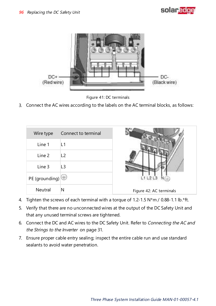

Figure 41: DC terminals

3. Connect the AC wires according to the labels on the AC terminal blocks, as follows:

| Wire type                 | Connect to terminal |                         |
|---------------------------|---------------------|-------------------------|
| Line 1                    | <b>L1</b>           |                         |
| Line 2                    | L <sub>2</sub>      |                         |
| Line 3                    | L <sub>3</sub>      |                         |
| PE (grounding) $\bigodot$ |                     |                         |
| Neutral                   | N                   | Figure 42: AC terminals |

- 4. Tighten the screws of each terminal with a torque of 1.2-1.5 N\*m / 0.88-1.1 lb.\*ft.
- 5. Verify that there are no unconnected wires at the output of the DC Safety Unit and that any unused terminal screws are tightened.
- 6. Connect the DC and AC wires to the DC Safety Unit. Refer to [Connecting](#page-31-0) the AC and the [Strings](#page-31-0) to the Inverter on [page](#page-31-0) 31.
- 7. Ensure proper cable entry sealing; inspect the entire cable run and use standard sealants to avoid water penetration.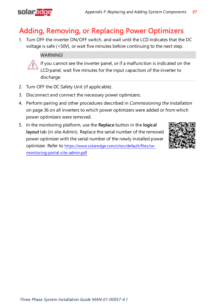

# Adding, Removing, or Replacing Power Optimizers

1. Turn OFF the inverter ON/OFF switch, and wait until the LCD indicates that the DC voltage is safe (<50V), or wait five minutes before continuing to the next step.

### WARNING!



If you cannot see the inverter panel, or if a malfunction is indicated on the LCD panel, wait five minutes for the input capacitors of the inverter to discharge.

- 2. Turn OFF the DC Safety Unit (if applicable).
- 3. Disconnect and connect the necessary power optimizers.
- 4. Perform pairing and other procedures described in [Commissioning](#page-36-0) the Installation on [page](#page-36-0) 36 on all inverters to which power optimizers were added or from which power optimizers were removed.
- 5. In the monitoring platform, use the **Replace** button in the **logical layout** tab (in site Admin). Replace the serial number of the removed power optimizer with the serial number of the newly installed power optimizer. Refer to [https://www.solaredge.com/sites/default/files/se](https://www.solaredge.com/sites/default/files/se-monitoring-portal-site-admin.pdf)[monitoring-portal-site-admin.pdf](https://www.solaredge.com/sites/default/files/se-monitoring-portal-site-admin.pdf)

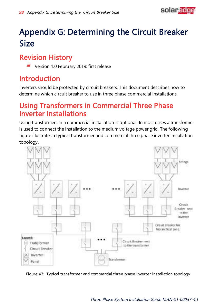# Appendix G: Determining the Circuit Breaker Size

# Revision History

Version 1.0 February 2019: first release

## Introduction

Inverters should be protected by circuit breakers. This document describes how to determine which circuit breaker to use in three phase commercial installations.

## Using Transformers in Commercial Three Phase Inverter Installations

Using transformers in a commercial installation is optional. In most cases a transformer is used to connect the installation to the medium voltage power grid. The following figure illustrates a typical transformer and commercial three phase inverter installation topology.



<span id="page-98-0"></span>Figure 43: Typical transformer and commercial three phase inverter installation topology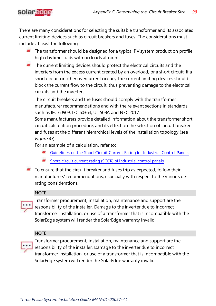

There are many considerations for selecting the suitable transformer and its associated current limiting devices such as circuit breakers and fuses. The considerations must include at least the following:

- The transformer should be designed for a typical PV system production profile: high daytime loads with no loads at night.
- $\blacksquare$  The current limiting devices should protect the electrical circuits and the inverters from the excess current created by an overload, or a short circuit. If a short circuit or other overcurrent occurs, the current limiting devices should block the current flow to the circuit, thus preventing damage to the electrical circuits and the inverters.

The circuit breakers and the fuses should comply with the transformer manufacturer recommendations and with the relevant sections in standards such as IEC 60909, IEC 60364, UL 508A and NEC 2017.

Some manufacturers provide detailed information about the transformer short circuit calculation procedure, and its effect on the selection of circuit breakers and fuses at the different hierarchical levels of the installation topology (see [Figure](#page-98-0) 43).

For an example of a calculation, refer to:

- [Guidelines](https://www.industry.usa.siemens.com/automation/us/en/industrial-controls/tools-and-resources/sccr/Documents/SIE SCCR Whitepaper Lo-res.pdf) on the Short Circuit Current Rating for Industrial Control Panels
- [Short-circuit](https://www.industry.usa.siemens.com/automation/us/en/industrial-controls/tools-and-resources/sccr/Documents/Acrobat Document.pdf) current rating (SCCR) of industrial control panels
- $\blacksquare$  To ensure that the circuit breaker and fuses trip as expected, follow their manufacturers' recommendations, especially with respect to the various derating considerations.

### **NOTE**

Transformer procurement, installation, maintenance and support are the responsibility of the installer. Damage to the inverter due to incorrect transformer installation, or use of a transformer that is incompatible with the SolarEdge system will render the SolarEdge warranty invalid.

### **NOTE**

Transformer procurement, installation, maintenance and support are the

responsibility of the installer. Damage to the inverter due to incorrect transformer installation, or use of a transformer that is incompatible with the SolarEdge system will render the SolarEdge warranty invalid.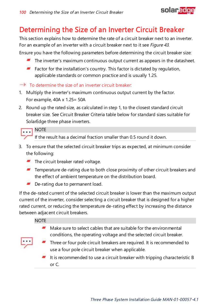

# Determining the Size of an Inverter Circuit Breaker

This section explains how to determine the rate of a circuit breaker next to an inverter. For an example of an inverter with a circuit breaker next to it see [Figure](#page-98-0) 43. Ensure you have the following parameters before determining the circuit breaker size:

- The inverter's maximum continuous output current as appears in the datasheet.
- Factor for the installation's country. This factor is dictated by regulation, applicable standards or common practice and is usually 1.25.

 $\blacksquare$  To determine the size of an inverter circuit breaker:

- 1. Multiply the inverter's maximum continuous output current by the factor. For example, 40A x 1.25= 50A
- 2. Round up the rated size, as calculated in step 1, to the closest standard circuit breaker size. See Circuit Breaker Criteria table below for standard sizes suitable for SolarEdge three phase inverters.



If the result has a decimal fraction smaller than 0.5 round it down.

- 3. To ensure that the selected circuit breaker trips as expected, at minimum consider the following:
	- $\blacksquare$  The circuit breaker rated voltage.
	- **Temperature de-rating due to both close proximity of other circuit breakers and** the effect of ambient temperature on the distribution board.
	- De-rating due to permanent load.

If the de-rated current of the selected circuit breaker is lower than the maximum output current of the inverter, consider selecting a circuit breaker that is designed for a higher rated current, or reducing the temperature de-rating effect by increasing the distance between adjacent circuit breakers.

**NOTE** 

- $\blacksquare$  Make sure to select cables that are suitable for the environmental conditions, the operating voltage and the selected circuit breaker.
- Three or four pole circuit breakers are required. It is recommended to use a four pole circuit breaker when applicable.

It is recommended to use a circuit breaker with tripping characteristic  $B$ or C.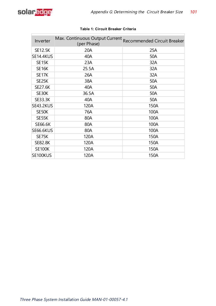

| Inverter           | Max. Continuous Output Current Recommended Circuit Breaker<br>(per Phase) |      |
|--------------------|---------------------------------------------------------------------------|------|
| <b>SE12.5K</b>     | 20A                                                                       | 25A  |
| SE14.4KUS          | 40A                                                                       | 50A  |
| SE15K              | 23A                                                                       | 32A  |
| SE <sub>16</sub> K | 25.5A                                                                     | 32A  |
| SE <sub>17</sub> K | 26A                                                                       | 32A  |
| SE <sub>25</sub> K | 38A                                                                       | 50A  |
| <b>SE27.6K</b>     | 40A                                                                       | 50A  |
| SE30K              | 36.5A                                                                     | 50A  |
| <b>SE33.3K</b>     | 40A                                                                       | 50A  |
| SE43.2KUS          | 120A                                                                      | 150A |
| SE50K              | 76A                                                                       | 100A |
| SE55K              | 80A                                                                       | 100A |
| SE66.6K            | 80A                                                                       | 100A |
| SE66.6KUS          | 80A                                                                       | 100A |
| SE75K              | 120A                                                                      | 150A |
| <b>SE82.8K</b>     | 120A                                                                      | 150A |
| <b>SE100K</b>      | 120A                                                                      | 150A |
| SE100KUS           | 120A                                                                      | 150A |

#### **Table 1: Circuit Breaker Criteria**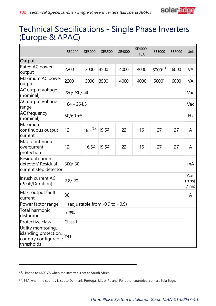

# Technical Specifications - Single Phase Inverters (Europe & APAC)

|                                                                                    | SE2200        | SE3000        | SE3500                           | SE4000 | SE4000-<br>16A | <b>SE5000</b> | SE6000 | Unit                |
|------------------------------------------------------------------------------------|---------------|---------------|----------------------------------|--------|----------------|---------------|--------|---------------------|
| <b>Output</b>                                                                      |               |               |                                  |        |                |               |        |                     |
| Rated AC power<br>output                                                           | 2200          | 3000          | 3500                             | 4000   | 4000           | $5000^{(1)}$  | 6000   | <b>VA</b>           |
| Maximum AC power<br>output                                                         | 2200          | 3000          | 3500                             | 4000   | 4000           | 50001         | 6000   | <b>VA</b>           |
| AC output voltage<br>(nominal)                                                     |               | 220/230/240   |                                  |        |                |               |        | Vac                 |
| AC output voltage<br>range                                                         | $184 - 264.5$ |               |                                  |        |                |               |        | Vac                 |
| AC frequency<br>(nominal)                                                          |               | $50/60 \pm 5$ |                                  |        |                |               | Hz     |                     |
| Maximum<br>continuous output<br>current                                            | 12            | $16.5^{(2)}$  | 19.52                            | 22     | 16             | 27            | 27     | A                   |
| Max. continuous<br>overcurrent<br>protection                                       | 12            | 16.52         | 19.52                            | 22     | 16             | 27            | 27     | A                   |
| Residual current<br>detector/ Residual<br>current step detector                    | 300/30        |               |                                  |        |                |               |        | mA                  |
| Inrush current AC<br>(Peak/Duration)                                               | 2.8/20        |               |                                  |        |                |               |        | Aac<br>(rms)<br>/ms |
| Max. output fault<br>current                                                       | 38            |               |                                  |        |                |               |        | A                   |
| Power factor range                                                                 |               |               | 1 (adjustable from -0.9 to +0.9) |        |                |               |        |                     |
| Total harmonic<br>distortion                                                       | $< 3\%$       |               |                                  |        |                |               |        |                     |
| Protective class                                                                   | Class I       |               |                                  |        |                |               |        |                     |
| Utility monitoring,<br>islanding protection,<br>country configurable<br>thresholds | Yes           |               |                                  |        |                |               |        |                     |

<sup>(1)</sup>Limited to 4600VA when the inverter is set to South Africa.

<sup>(2)</sup>16A when the country is set to Denmark, Portugal, UK, or Poland. For other countries, contact SolarEdge.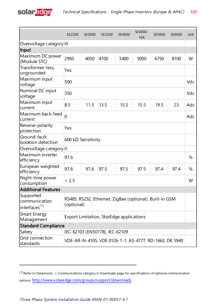

|                                                         | SE2200                     | SE3000                                                                | SE3500                                   | SE4000 | SE4000-<br><b>16A</b>                                  | SE5000 | SE6000 | Unit |
|---------------------------------------------------------|----------------------------|-----------------------------------------------------------------------|------------------------------------------|--------|--------------------------------------------------------|--------|--------|------|
| Overvoltage category III                                |                            |                                                                       |                                          |        |                                                        |        |        |      |
| Input                                                   |                            |                                                                       |                                          |        |                                                        |        |        |      |
| Maximum DC power<br>(Module STC)                        | 2950                       | 4050                                                                  | 4700                                     | 5400   | 5000                                                   | 6750   | 8100   | W    |
| Transformer-less.<br>ungrounded                         | Yes                        |                                                                       |                                          |        |                                                        |        |        |      |
| Maximum input<br>voltage                                | 500                        |                                                                       |                                          |        |                                                        |        |        |      |
| Nominal DC input<br>voltage                             | 350                        |                                                                       |                                          |        |                                                        |        |        | Vdc  |
| Maximum input<br>current                                | 8.5                        | 11.5                                                                  | 13.5                                     | 15.5   | 15.5                                                   | 19.5   | 23     | Adc  |
| Maximum back-feed<br>current                            | $\Omega$                   |                                                                       |                                          |        |                                                        |        |        | Adc  |
| Reverse-polarity<br>protection                          | Yes                        |                                                                       |                                          |        |                                                        |        |        |      |
| Ground-fault<br>isolation detection                     | 600 k $\Omega$ Sensitivity |                                                                       |                                          |        |                                                        |        |        |      |
| Overvoltage category II                                 |                            |                                                                       |                                          |        |                                                        |        |        |      |
| Maximum inverter<br>efficiency                          | 97.6                       |                                                                       |                                          |        |                                                        |        |        | %    |
| European weighted<br>efficiency                         | 97.6                       | 97.6                                                                  | 97.5                                     | 97.5   | 97.5                                                   | 97.4   | 97.4   | %    |
| Night-time power<br>consumption                         | < 2.5                      |                                                                       |                                          |        |                                                        |        |        | W    |
| <b>Additional Features</b>                              |                            |                                                                       |                                          |        |                                                        |        |        |      |
| Supported<br>communication<br>interfaces <sup>(1)</sup> |                            | RS485, RS232, Ethernet, ZigBee (optional), Built-in GSM<br>(optional) |                                          |        |                                                        |        |        |      |
| <b>Smart Energy</b><br>Management                       |                            |                                                                       | Export Limitation, StorEdge applications |        |                                                        |        |        |      |
| <b>Standard Compliance</b>                              |                            |                                                                       |                                          |        |                                                        |        |        |      |
| Safety                                                  |                            |                                                                       | IEC-62103 (EN50178), IEC-62109           |        |                                                        |        |        |      |
| Grid connection<br>standards                            |                            |                                                                       |                                          |        | VDE-AR-N-4105, VDE 0126-1-1, AS-4777, RD-1663, DK 5940 |        |        |      |

<sup>(1)</sup>Refer to Datasheets -> Communications category in Downloads page for specifications of optional communication options: <http://www.solaredge.com/groups/support/downloads>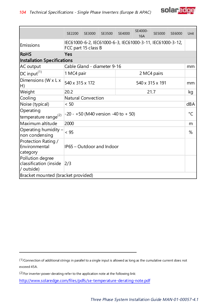

|                                                          | SE2200                      | SE3000                                                                           | SE3500 | SE4000          | SE4000-<br>16A | SE5000      | SE6000 | Unit |  |
|----------------------------------------------------------|-----------------------------|----------------------------------------------------------------------------------|--------|-----------------|----------------|-------------|--------|------|--|
| <b>Emissions</b>                                         |                             | IEC61000-6-2, IEC61000-6-3, IEC61000-3-11, IEC61000-3-12,<br>FCC part 15 class B |        |                 |                |             |        |      |  |
| <b>RoHS</b>                                              | Yes                         |                                                                                  |        |                 |                |             |        |      |  |
| <b>Installation Specifications</b>                       |                             |                                                                                  |        |                 |                |             |        |      |  |
| AC output                                                | Cable Gland - diameter 9-16 |                                                                                  |        |                 |                |             |        | mm   |  |
| $DC input^{(1)}$                                         | 1 MC4 pair                  |                                                                                  |        |                 |                | 2 MC4 pairs |        |      |  |
| Dimensions (W x L x<br>H)                                | 540 x 315 x 172             |                                                                                  |        | 540 x 315 x 191 |                |             |        | mm   |  |
| Weight                                                   | 20.2                        |                                                                                  |        |                 | 21.7           |             |        | kg   |  |
| Cooling                                                  | <b>Natural Convection</b>   |                                                                                  |        |                 |                |             |        |      |  |
| Noise (typical)                                          | < 50                        |                                                                                  |        |                 |                |             |        | dBA  |  |
| Operating<br>temperature range <sup>(2)</sup>            |                             | $-20 - +50$ (M40 version $-40$ to $+50$ )                                        |        |                 |                |             |        | °C   |  |
| Maximum altitude                                         | 2000                        |                                                                                  |        |                 |                |             |        | m    |  |
| Operating humidity -<br>non condensing                   | < 95                        |                                                                                  |        |                 |                |             |        | %    |  |
| Protection Rating /<br>Environmental<br>category         | IP65 – Outdoor and Indoor   |                                                                                  |        |                 |                |             |        |      |  |
| Pollution degree<br>classification (inside<br>/ outside) | 2/3                         |                                                                                  |        |                 |                |             |        |      |  |
| Bracket mounted (bracket provided)                       |                             |                                                                                  |        |                 |                |             |        |      |  |

<sup>(1)</sup>Connection of additional strings in parallel to a single input is allowed as long as the cumulative current does not exceed 45A.

<sup>(2)</sup>For inverter power derating refer to the application note at the following link:

<http://www.solaredge.com/files/pdfs/se-temperature-derating-note.pdf>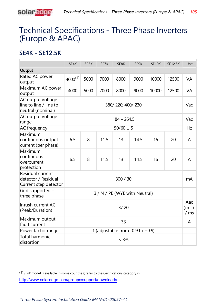

# Technical Specifications - Three Phase Inverters (Europe & APAC)

### SE4K - SE12.5K

|                                                                    | SE4K         | SE5K                 | SE7K | SE8K          | SE9K                             | <b>SE10K</b> | <b>SE12.5K</b>      | Unit      |
|--------------------------------------------------------------------|--------------|----------------------|------|---------------|----------------------------------|--------------|---------------------|-----------|
| Output                                                             |              |                      |      |               |                                  |              |                     |           |
| Rated AC power<br>output                                           | $4000^{(1)}$ | 5000                 | 7000 | 8000          | 9000                             | 10000        | 12500               | <b>VA</b> |
| Maximum AC power<br>output                                         | 4000         | 5000                 | 7000 | 8000          | 9000                             | 10000        | 12500               | <b>VA</b> |
| AC output voltage -<br>line to line / line to<br>neutral (nominal) |              | 380/220; 400/230     |      |               |                                  |              |                     | Vac       |
| AC output voltage<br>range                                         |              | $184 - 264.5$<br>Vac |      |               |                                  |              |                     |           |
| AC frequency                                                       |              |                      |      | $50/60 \pm 5$ |                                  |              |                     | Hz        |
| Maximum<br>continuous output<br>current (per phase)                | 6.5          | 8                    | 11.5 | 13            | 14.5                             | 16           | 20                  | A         |
| Maximum<br>continuous<br>overcurrent<br>protection                 | 6.5          | 8                    | 11.5 | 13            | 14.5                             | 16           | 20                  | A         |
| Residual current<br>detector / Residual<br>Current step detector   |              |                      |      | 300 / 30      |                                  |              |                     | mA        |
| Grid supported -<br>three phase                                    |              |                      |      |               | 3 / N / PE (WYE with Neutral)    |              |                     |           |
| Inrush current AC<br>(Peak/Duration)                               | 3/20         |                      |      |               |                                  |              | Aac<br>(rms)<br>/ms |           |
| Maximum output<br>fault current                                    |              | 33                   |      |               |                                  |              |                     |           |
| Power factor range                                                 |              |                      |      |               | 1 (adjustable from -0.9 to +0.9) |              |                     |           |
| <b>Total harmonic</b><br>distortion                                |              |                      |      | $< 3\%$       |                                  |              |                     |           |

(1)SE4K model is available in some countries; refer to the Certifications category in <http://www.solaredge.com/groups/support/downloads>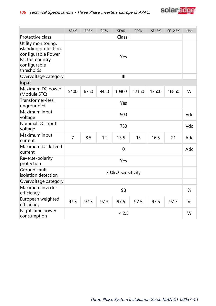

|                                                                                                                     | SE4K                     | SE5K    | SE7K | SE8K  | SE9K  | <b>SE10K</b> | <b>SE12.5K</b> | Unit |  |  |
|---------------------------------------------------------------------------------------------------------------------|--------------------------|---------|------|-------|-------|--------------|----------------|------|--|--|
| Protective class                                                                                                    |                          | Class I |      |       |       |              |                |      |  |  |
| Utility monitoring,<br>islanding protection,<br>configurable Power<br>Factor, country<br>configurable<br>thresholds | Yes                      |         |      |       |       |              |                |      |  |  |
| Overvoltage category                                                                                                |                          | III     |      |       |       |              |                |      |  |  |
| Input                                                                                                               |                          |         |      |       |       |              |                |      |  |  |
| Maximum DC power<br>(Module STC)                                                                                    | 5400                     | 6750    | 9450 | 10800 | 12150 | 13500        | 16850          | W    |  |  |
| Transformer-less,<br>ungrounded                                                                                     | Yes                      |         |      |       |       |              |                |      |  |  |
| Maximum input<br>voltage                                                                                            | 900                      |         |      |       |       |              |                |      |  |  |
| Nominal DC input<br>voltage                                                                                         | 750                      |         |      |       |       |              |                |      |  |  |
| Maximum input<br>current                                                                                            | $\overline{7}$           | 8.5     | 12   | 13.5  | 15    | 16.5         | 21             | Adc  |  |  |
| Maximum back-feed<br>current                                                                                        | 0                        |         |      |       |       |              |                |      |  |  |
| Reverse-polarity<br>protection                                                                                      | Yes                      |         |      |       |       |              |                |      |  |  |
| Ground-fault<br>isolation detection                                                                                 | $700k\Omega$ Sensitivity |         |      |       |       |              |                |      |  |  |
| Overvoltage category                                                                                                | $\mathbf{I}$             |         |      |       |       |              |                |      |  |  |
| Maximum inverter<br>efficiency                                                                                      | 98                       |         |      |       |       |              |                |      |  |  |
| European weighted<br>efficiency                                                                                     | 97.3                     | 97.3    | 97.3 | 97.5  | 97.5  | 97.6         | 97.7           | %    |  |  |
| Night-time power<br>consumption                                                                                     | < 2.5                    |         |      |       |       |              |                |      |  |  |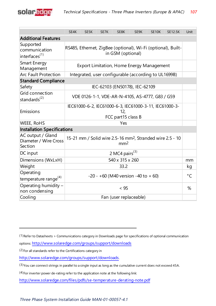

|                                                         | SE4K                                                                                     | SE5K | SE7K | SE8K | SE9K | SE <sub>10</sub> K | <b>SE12.5K</b> | Unit |  |  |
|---------------------------------------------------------|------------------------------------------------------------------------------------------|------|------|------|------|--------------------|----------------|------|--|--|
| <b>Additional Features</b>                              |                                                                                          |      |      |      |      |                    |                |      |  |  |
| Supported<br>communication<br>interfaces <sup>(1)</sup> | RS485, Ethernet, ZigBee (optional), Wi-Fi (optional), Built-<br>in GSM (optional)        |      |      |      |      |                    |                |      |  |  |
| <b>Smart Energy</b><br>Management                       | Export Limitation, Home Energy Management                                                |      |      |      |      |                    |                |      |  |  |
| <b>Arc Fault Protection</b>                             | Integrated, user configurable (according to UL1699B)                                     |      |      |      |      |                    |                |      |  |  |
| <b>Standard Compliance</b>                              |                                                                                          |      |      |      |      |                    |                |      |  |  |
| Safety                                                  | IEC-62103 (EN50178), IEC-62109                                                           |      |      |      |      |                    |                |      |  |  |
| Grid connection<br>standards <sup>(2)</sup>             | VDE 0126-1-1, VDE-AR-N-4105, AS-4777, G83 / G59                                          |      |      |      |      |                    |                |      |  |  |
| Emissions                                               | IEC61000-6-2, IEC61000-6-3, IEC61000-3-11, IEC61000-3-<br>12.<br>FCC part15 class B      |      |      |      |      |                    |                |      |  |  |
| <b>WEEE, ROHS</b>                                       | Yes                                                                                      |      |      |      |      |                    |                |      |  |  |
| <b>Installation Specifications</b>                      |                                                                                          |      |      |      |      |                    |                |      |  |  |
| AC output / Gland<br>Diameter / Wire Cross<br>Section   | 15-21 mm / Solid wire 2.5-16 mm <sup>2</sup> , Stranded wire 2.5 - 10<br>mm <sup>2</sup> |      |      |      |      |                    |                |      |  |  |
| DC input                                                | 2 MC4 pairs $^{(3)}$                                                                     |      |      |      |      |                    |                |      |  |  |
| Dimensions (WxLxH)                                      | 540 x 315 x 260                                                                          |      |      |      |      |                    |                |      |  |  |
| Weight                                                  | 33.2                                                                                     |      |      |      |      |                    |                |      |  |  |
| Operating<br>temperature range <sup>(4)</sup>           | $-20 - +60$ (M40 version $-40$ to $+60$ )                                                |      |      |      |      |                    |                |      |  |  |
| Operating humidity -<br>non condensing                  | < 95                                                                                     |      |      |      |      |                    |                |      |  |  |
| Cooling                                                 | Fan (user replaceable)                                                                   |      |      |      |      |                    |                |      |  |  |

(1)Refer to Datasheets > Communications category in Downloads page for specifications of optional communication

options: <http://www.solaredge.com/groups/support/downloads>

(2)For all standards refer to the Certifications category in

<http://www.solaredge.com/groups/support/downloads>.

(4)For inverter power de-rating refer to the application note at the following link:

<http://www.solaredge.com/files/pdfs/se-temperature-derating-note.pdf>

Three Phase System Installation Guide MAN-01-00057-4.1

<sup>(3)</sup>You can connect strings in parallel to a single input as long as the cumulative current does not exceed 45A.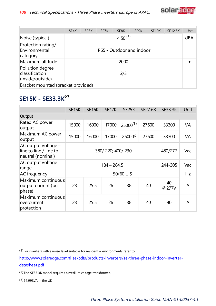

|                                                        | SE4K                      | SE5K         | SE7K | SE8K | SE9K | SE <sub>10</sub> K | <b>SE12.5K</b> | Unit |
|--------------------------------------------------------|---------------------------|--------------|------|------|------|--------------------|----------------|------|
| Noise (typical)                                        |                           | $< 50^{(1)}$ |      |      |      |                    |                |      |
| Protection rating/<br>Environmental<br>category        | IP65 - Outdoor and indoor |              |      |      |      |                    |                |      |
| Maximum altitude                                       | 2000                      |              |      |      |      |                    | m              |      |
| Pollution degree<br>classification<br>(inside/outside) | 2/3                       |              |      |      |      |                    |                |      |
| Bracket mounted (bracket provided)                     |                           |              |      |      |      |                    |                |      |

## $SE15K - SE33.3K^{(2)}$

|                                                                    | SE <sub>15</sub> K          | SE <sub>16</sub> K | SE <sub>17</sub> K | SE <sub>25</sub> K | <b>SE27.6K</b> | <b>SE33.3K</b> | Unit      |
|--------------------------------------------------------------------|-----------------------------|--------------------|--------------------|--------------------|----------------|----------------|-----------|
| Output                                                             |                             |                    |                    |                    |                |                |           |
| Rated AC power<br>output                                           | 15000                       | 16000              | 17000              | $25000^{(3)}$      | 27600          | 33300          | <b>VA</b> |
| Maximum AC power<br>output                                         | 15000                       | 16000              | 17000              | 250006             | 27600          | 33300          | <b>VA</b> |
| AC output voltage -<br>line to line / line to<br>neutral (nominal) | 480/277<br>380/220; 400/230 |                    |                    |                    |                | Vac            |           |
| AC output voltage<br>range                                         | $184 - 264.5$<br>244-305    |                    |                    |                    |                |                | Vac       |
| AC frequency                                                       |                             |                    |                    | $50/60 \pm 5$      |                |                | Hz        |
| Maximum continuous<br>output current (per<br>phase)                | 23                          | 25.5               | 26                 | 38                 | 40             | 40<br>@277V    | A         |
| Maximum continuous<br>overcurrent<br>protection                    | 23                          | 25.5               | 26                 | 38                 | 40             | 40             | A         |

(1)For inverters with a noise level suitable for residential environments refer to:

[http://www.solaredge.com/files/pdfs/products/inverters/se-three-phase-indoor-inverter-](http://www.solaredge.com/files/pdfs/products/inverters/se-three-phase-indoor-inverter-datasheet.pdf)

[datasheet.pdf](http://www.solaredge.com/files/pdfs/products/inverters/se-three-phase-indoor-inverter-datasheet.pdf)

(2)The SE33.3K model requires a medium voltage transformer.

(3)24.99kVA in the UK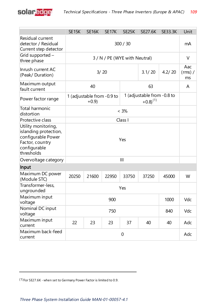

|                                                                                                                     | <b>SE15K</b> | <b>SE16K</b>                                                                    | SE17K                         | SE25K | <b>SE27.6K</b> | SE33.3K | Unit                   |
|---------------------------------------------------------------------------------------------------------------------|--------------|---------------------------------------------------------------------------------|-------------------------------|-------|----------------|---------|------------------------|
| Residual current<br>detector / Residual<br>Current step detector                                                    |              | 300 / 30                                                                        |                               |       |                |         |                        |
| Grid supported -<br>three phase                                                                                     |              |                                                                                 | 3 / N / PE (WYE with Neutral) |       |                |         | V                      |
| Inrush current AC<br>(Peak/Duration)                                                                                |              |                                                                                 | 3/20                          |       | 3.1/20         | 4.2/20  | Aac<br>$(rms)$ /<br>ms |
| Maximum output<br>fault current                                                                                     |              | 40                                                                              |                               |       | 63             |         | A                      |
| Power factor range                                                                                                  |              | 1 (adjustable from -0.8 to<br>1 (adjustable from -0.9 to<br>$+0.8(1)$<br>$+0.9$ |                               |       |                |         |                        |
| <b>Total harmonic</b><br>distortion                                                                                 |              | $< 3\%$                                                                         |                               |       |                |         |                        |
| Protective class                                                                                                    |              | Class I                                                                         |                               |       |                |         |                        |
| Utility monitoring,<br>islanding protection,<br>configurable Power<br>Factor, country<br>configurable<br>thresholds | Yes          |                                                                                 |                               |       |                |         |                        |
| Overvoltage category                                                                                                |              | $\mathbf{III}$                                                                  |                               |       |                |         |                        |
| Input                                                                                                               |              |                                                                                 |                               |       |                |         |                        |
| Maximum DC power<br>(Module STC)                                                                                    | 20250        | 21600                                                                           | 22950                         | 33750 | 37250          | 45000   | W                      |
| Transformer-less,<br>ungrounded                                                                                     | Yes          |                                                                                 |                               |       |                |         |                        |
| Maximum input<br>voltage                                                                                            | 900<br>1000  |                                                                                 |                               |       |                | Vdc     |                        |
| Nominal DC input<br>voltage                                                                                         | 750<br>840   |                                                                                 |                               |       |                | Vdc     |                        |
| Maximum input<br>current                                                                                            | 22           | 23                                                                              | 23                            | 37    | 40             | 40      | Adc                    |
| Maximum back-feed<br>current                                                                                        | $\mathbf 0$  |                                                                                 |                               |       |                | Adc     |                        |

(1)For SE27.6K - when set to Germany Power Factor is limited to 0.9.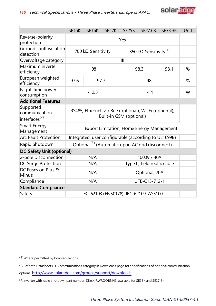

|                                                         | SE <sub>15</sub> K                                                               | <b>SE16K</b>       | SE17K | SE <sub>25</sub> K                        | <b>SE27.6K</b> | SE33.3K | Unit |  |
|---------------------------------------------------------|----------------------------------------------------------------------------------|--------------------|-------|-------------------------------------------|----------------|---------|------|--|
| Reverse-polarity<br>protection                          |                                                                                  | Yes                |       |                                           |                |         |      |  |
| Ground-fault isolation<br>detection                     |                                                                                  | 700 kΩ Sensitivity |       | 350 k $\Omega$ Sensitivity <sup>(1)</sup> |                |         |      |  |
| Overvoltage category                                    |                                                                                  |                    |       | $\mathbf{III}$                            |                |         |      |  |
| Maximum inverter<br>efficiency                          | 98                                                                               |                    |       | 98.3                                      |                | 98.1    | %    |  |
| European weighted<br>efficiency                         | 97.6                                                                             | 97.7               |       |                                           | 98             |         | %    |  |
| Night-time power<br>consumption                         |                                                                                  | < 2.5<br>$\lt 4$   |       |                                           |                |         | W    |  |
| <b>Additional Features</b>                              |                                                                                  |                    |       |                                           |                |         |      |  |
| Supported<br>communication<br>interfaces <sup>(2)</sup> | RS485, Ethernet, ZigBee (optional), Wi-Fi (optional),<br>Built-in GSM (optional) |                    |       |                                           |                |         |      |  |
| Smart Energy<br>Management                              | <b>Export Limitation, Home Energy Management</b>                                 |                    |       |                                           |                |         |      |  |
| <b>Arc Fault Protection</b>                             | Integrated, user configurable (according to UL1699B)                             |                    |       |                                           |                |         |      |  |
| Rapid Shutdown                                          | Optional <sup>(3)</sup> (Automatic upon AC grid disconnect)                      |                    |       |                                           |                |         |      |  |
| <b>DC Safety Unit (optional)</b>                        |                                                                                  |                    |       |                                           |                |         |      |  |
| 2-pole Disconnection                                    | 1000V / 40A<br>N/A                                                               |                    |       |                                           |                |         |      |  |
| DC Surge Protection                                     | Type II, field replaceable<br>N/A                                                |                    |       |                                           |                |         |      |  |
| DC Fuses on Plus &<br>Minus                             | N/A<br>Optional, 20A                                                             |                    |       |                                           |                |         |      |  |
| Compliance                                              | UTE-C15-712-1<br>N/A                                                             |                    |       |                                           |                |         |      |  |
| <b>Standard Compliance</b>                              |                                                                                  |                    |       |                                           |                |         |      |  |
| Safety                                                  | IEC-62103 (EN50178), IEC-62109, AS3100                                           |                    |       |                                           |                |         |      |  |

(1)Where permitted by local regulations

options: <http://www.solaredge.com/groups/support/downloads>

<sup>(2)</sup>Refer to Datasheets -> Communications category in Downloads page for specifications of optional communication

<sup>(3)</sup>Inverter with rapid shutdown part number: SExxK-RWROOBNN2; available for SE25K and SE27.6K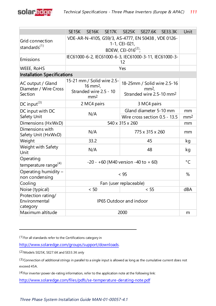

|                                                       | SE <sub>15</sub> K                        |                                                                                                                                                                                  | SE16K SE17K |     | SE25K SE27.6K                                          | SE33.3K | Unit                  |  |  |
|-------------------------------------------------------|-------------------------------------------|----------------------------------------------------------------------------------------------------------------------------------------------------------------------------------|-------------|-----|--------------------------------------------------------|---------|-----------------------|--|--|
| Grid connection<br>standards <sup>(1)</sup>           |                                           | VDE-AR-N-4105, G59/3, AS-4777, EN 50438, VDE 0126-<br>1-1, CEI-021,<br>BDEW, CEI-016 <sup>(2)</sup> ;                                                                            |             |     |                                                        |         |                       |  |  |
| Emissions                                             |                                           |                                                                                                                                                                                  |             | 12  | IEC61000-6-2, IEC61000-6-3, IEC61000-3-11, IEC61000-3- |         |                       |  |  |
| <b>WEEE, ROHS</b>                                     |                                           |                                                                                                                                                                                  |             | Yes |                                                        |         |                       |  |  |
| <b>Installation Specifications</b>                    |                                           |                                                                                                                                                                                  |             |     |                                                        |         |                       |  |  |
| AC output / Gland<br>Diameter / Wire Cross<br>Section |                                           | 15-21 mm / Solid wire 2.5-<br>18-25mm / Solid wire 2.5-16<br>$16 \text{ mm}^2$ .<br>$mm2$ .<br>Stranded wire 2.5 - 10<br>Stranded wire 2.5-10 mm <sup>2</sup><br>mm <sup>2</sup> |             |     |                                                        |         |                       |  |  |
| $DC input^{(3)}$                                      | 2 MC4 pairs<br>3 MC4 pairs                |                                                                                                                                                                                  |             |     |                                                        |         |                       |  |  |
| DC input with DC<br>Safety Unit                       |                                           | Gland diameter 5-10 mm<br>N/A<br>Wire cross section 0.5 - 13.5                                                                                                                   |             |     |                                                        |         | mm<br>mm <sup>2</sup> |  |  |
| Dimensions (HxWxD)                                    | 540 x 315 x 260                           |                                                                                                                                                                                  |             |     |                                                        |         | mm                    |  |  |
| Dimensions with<br>Safety Unit (HxWxD)                | N/A<br>775 x 315 x 260                    |                                                                                                                                                                                  |             |     |                                                        |         | mm                    |  |  |
| Weight                                                |                                           | 33.2                                                                                                                                                                             |             |     | kg                                                     |         |                       |  |  |
| Weight with Safety<br>Unit                            |                                           | N/A                                                                                                                                                                              |             |     | kg                                                     |         |                       |  |  |
| Operating<br>temperature range <sup>(4)</sup>         | $-20 - +60$ (M40 version $-40$ to $+60$ ) |                                                                                                                                                                                  |             |     |                                                        |         |                       |  |  |
| Operating humidity -<br>non condensing                | < 95                                      |                                                                                                                                                                                  |             |     |                                                        |         |                       |  |  |
| Cooling                                               | Fan (user replaceable)                    |                                                                                                                                                                                  |             |     |                                                        |         |                       |  |  |
| Noise (typical)                                       |                                           | < 50                                                                                                                                                                             |             |     | < 55                                                   |         | dBA                   |  |  |
| Protection rating/<br>Environmental<br>category       | IP65 Outdoor and indoor                   |                                                                                                                                                                                  |             |     |                                                        |         |                       |  |  |
| Maximum altitude                                      | 2000                                      |                                                                                                                                                                                  |             |     |                                                        |         | m                     |  |  |

(1)For all standards refer to the Certifications category in

<http://www.solaredge.com/groups/support/downloads>.

(2)Models SE25K, SE27.6K and SE33.3K only

(3)Connection of additional strings in parallel to a single input is allowed as long as the cumulative current does not exceed 45A.

(4)For inverter power de-rating information, refer to the application note at the following link:

<http://www.solaredge.com/files/pdfs/se-temperature-derating-note.pdf>

Three Phase System Installation Guide MAN-01-00057-4.1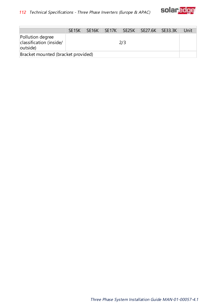

|                                                         | SF <sub>15K</sub> |     |  |  | SE16K SE17K SE25K SE27.6K SE33.3K |  | Unit |
|---------------------------------------------------------|-------------------|-----|--|--|-----------------------------------|--|------|
| Pollution degree<br>classification (inside/<br>outside) |                   | 2/3 |  |  |                                   |  |      |
| Bracket mounted (bracket provided)                      |                   |     |  |  |                                   |  |      |